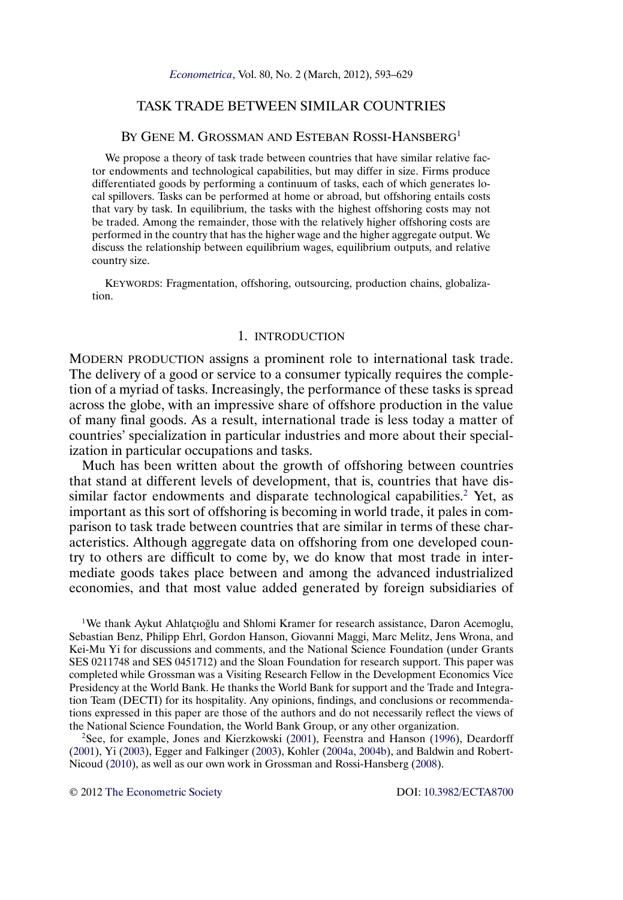# <span id="page-0-0"></span>TASK TRADE BETWEEN SIMILAR COUNTRIES

# BY GENE M. GROSSMAN AND ESTEBAN ROSSI-HANSBERG<sup>1</sup>

We propose a theory of task trade between countries that have similar relative factor endowments and technological capabilities, but may differ in size. Firms produce differentiated goods by performing a continuum of tasks, each of which generates local spillovers. Tasks can be performed at home or abroad, but offshoring entails costs that vary by task. In equilibrium, the tasks with the highest offshoring costs may not be traded. Among the remainder, those with the relatively higher offshoring costs are performed in the country that has the higher wage and the higher aggregate output. We discuss the relationship between equilibrium wages, equilibrium outputs, and relative country size.

KEYWORDS: Fragmentation, offshoring, outsourcing, production chains, globalization.

# 1. INTRODUCTION

MODERN PRODUCTION assigns a prominent role to international task trade. The delivery of a good or service to a consumer typically requires the completion of a myriad of tasks. Increasingly, the performance of these tasks is spread across the globe, with an impressive share of offshore production in the value of many final goods. As a result, international trade is less today a matter of countries' specialization in particular industries and more about their specialization in particular occupations and tasks.

Much has been written about the growth of offshoring between countries that stand at different levels of development, that is, countries that have dissimilar factor endowments and disparate technological capabilities.<sup>2</sup> Yet, as important as this sort of offshoring is becoming in world trade, it pales in comparison to task trade between countries that are similar in terms of these characteristics. Although aggregate data on offshoring from one developed country to others are difficult to come by, we do know that most trade in intermediate goods takes place between and among the advanced industrialized economies, and that most value added generated by foreign subsidiaries of

<sup>1</sup>We thank Aykut Ahlatçıoğlu and Shlomi Kramer for research assistance, Daron Acemoglu, Sebastian Benz, Philipp Ehrl, Gordon Hanson, Giovanni Maggi, Marc Melitz, Jens Wrona, and Kei-Mu Yi for discussions and comments, and the National Science Foundation (under Grants SES 0211748 and SES 0451712) and the Sloan Foundation for research support. This paper was completed while Grossman was a Visiting Research Fellow in the Development Economics Vice Presidency at the World Bank. He thanks the World Bank for support and the Trade and Integration Team (DECTI) for its hospitality. Any opinions, findings, and conclusions or recommendations expressed in this paper are those of the authors and do not necessarily reflect the views of the National Science Foundation, the World Bank Group, or any other organization.

<sup>2</sup>See, for example, Jones and Kierzkowski [\(2001\)](#page-35-0), Feenstra and Hanson [\(1996\)](#page-35-0), Deardorff [\(2001\)](#page-35-0), Yi [\(2003\)](#page-36-0), Egger and Falkinger [\(2003\)](#page-35-0), Kohler [\(2004a,](#page-35-0) [2004b\)](#page-35-0), and Baldwin and Robert-Nicoud [\(2010\)](#page-35-0), as well as our own work in Grossman and Rossi-Hansberg [\(2008\)](#page-35-0).

© 2012 [The Econometric Society](http://www.econometricsociety.org/) DOI: [10.3982/ECTA8700](http://dx.doi.org/10.3982/ECTA8700)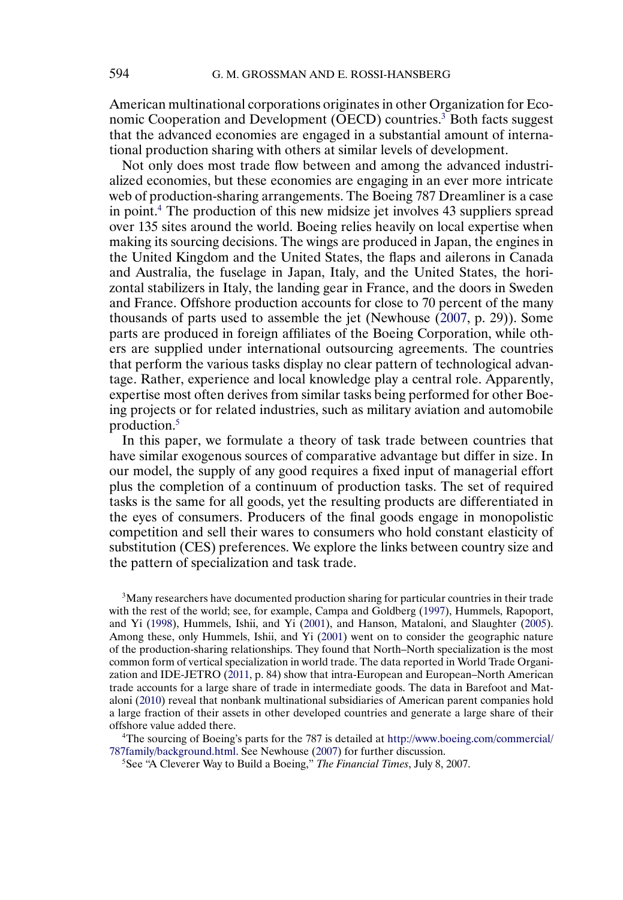<span id="page-1-0"></span>American multinational corporations originates in other Organization for Economic Cooperation and Development (OECD) countries.<sup>3</sup> Both facts suggest that the advanced economies are engaged in a substantial amount of international production sharing with others at similar levels of development.

Not only does most trade flow between and among the advanced industrialized economies, but these economies are engaging in an ever more intricate web of production-sharing arrangements. The Boeing 787 Dreamliner is a case in point.4 The production of this new midsize jet involves 43 suppliers spread over 135 sites around the world. Boeing relies heavily on local expertise when making its sourcing decisions. The wings are produced in Japan, the engines in the United Kingdom and the United States, the flaps and ailerons in Canada and Australia, the fuselage in Japan, Italy, and the United States, the horizontal stabilizers in Italy, the landing gear in France, and the doors in Sweden and France. Offshore production accounts for close to 70 percent of the many thousands of parts used to assemble the jet (Newhouse [\(2007,](#page-36-0) p. 29)). Some parts are produced in foreign affiliates of the Boeing Corporation, while others are supplied under international outsourcing agreements. The countries that perform the various tasks display no clear pattern of technological advantage. Rather, experience and local knowledge play a central role. Apparently, expertise most often derives from similar tasks being performed for other Boeing projects or for related industries, such as military aviation and automobile production.5

In this paper, we formulate a theory of task trade between countries that have similar exogenous sources of comparative advantage but differ in size. In our model, the supply of any good requires a fixed input of managerial effort plus the completion of a continuum of production tasks. The set of required tasks is the same for all goods, yet the resulting products are differentiated in the eyes of consumers. Producers of the final goods engage in monopolistic competition and sell their wares to consumers who hold constant elasticity of substitution (CES) preferences. We explore the links between country size and the pattern of specialization and task trade.

<sup>3</sup>Many researchers have documented production sharing for particular countries in their trade with the rest of the world; see, for example, Campa and Goldberg [\(1997\)](#page-35-0), Hummels, Rapoport, and Yi [\(1998\)](#page-35-0), Hummels, Ishii, and Yi [\(2001\)](#page-35-0), and Hanson, Mataloni, and Slaughter [\(2005\)](#page-35-0). Among these, only Hummels, Ishii, and Yi [\(2001\)](#page-35-0) went on to consider the geographic nature of the production-sharing relationships. They found that North–North specialization is the most common form of vertical specialization in world trade. The data reported in World Trade Organization and IDE-JETRO [\(2011,](#page-36-0) p. 84) show that intra-European and European–North American trade accounts for a large share of trade in intermediate goods. The data in Barefoot and Mataloni [\(2010\)](#page-35-0) reveal that nonbank multinational subsidiaries of American parent companies hold a large fraction of their assets in other developed countries and generate a large share of their offshore value added there.

4The sourcing of Boeing's parts for the 787 is detailed at [http://www.boeing.com/commercial/](http://www.boeing.com/commercial/787family/background.html) [787family/background.html](http://www.boeing.com/commercial/787family/background.html). See Newhouse [\(2007\)](#page-36-0) for further discussion.

5See "A Cleverer Way to Build a Boeing," *The Financial Times*, July 8, 2007.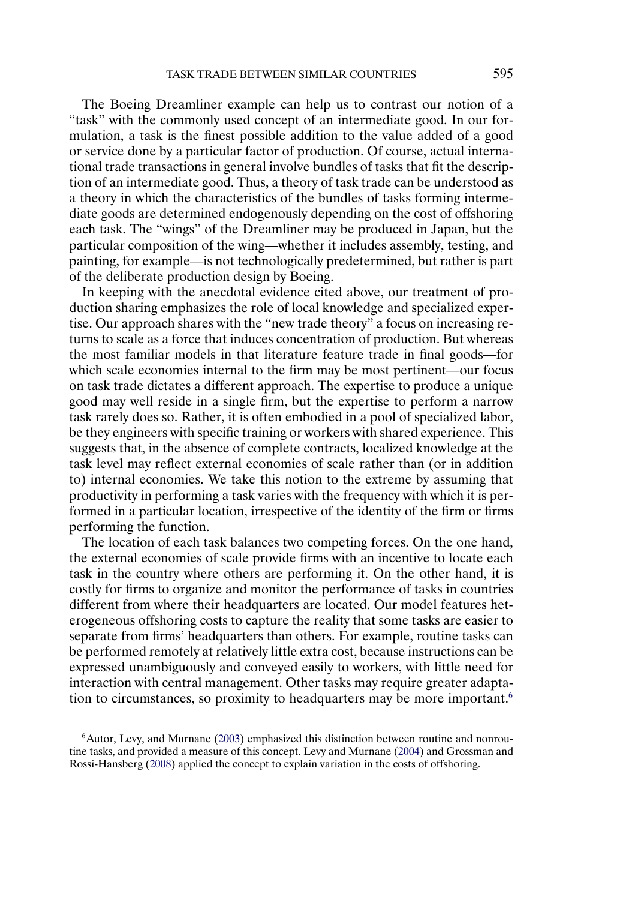<span id="page-2-0"></span>The Boeing Dreamliner example can help us to contrast our notion of a "task" with the commonly used concept of an intermediate good. In our formulation, a task is the finest possible addition to the value added of a good or service done by a particular factor of production. Of course, actual international trade transactions in general involve bundles of tasks that fit the description of an intermediate good. Thus, a theory of task trade can be understood as a theory in which the characteristics of the bundles of tasks forming intermediate goods are determined endogenously depending on the cost of offshoring each task. The "wings" of the Dreamliner may be produced in Japan, but the particular composition of the wing—whether it includes assembly, testing, and painting, for example—is not technologically predetermined, but rather is part of the deliberate production design by Boeing.

In keeping with the anecdotal evidence cited above, our treatment of production sharing emphasizes the role of local knowledge and specialized expertise. Our approach shares with the "new trade theory" a focus on increasing returns to scale as a force that induces concentration of production. But whereas the most familiar models in that literature feature trade in final goods—for which scale economies internal to the firm may be most pertinent—our focus on task trade dictates a different approach. The expertise to produce a unique good may well reside in a single firm, but the expertise to perform a narrow task rarely does so. Rather, it is often embodied in a pool of specialized labor, be they engineers with specific training or workers with shared experience. This suggests that, in the absence of complete contracts, localized knowledge at the task level may reflect external economies of scale rather than (or in addition to) internal economies. We take this notion to the extreme by assuming that productivity in performing a task varies with the frequency with which it is performed in a particular location, irrespective of the identity of the firm or firms performing the function.

The location of each task balances two competing forces. On the one hand, the external economies of scale provide firms with an incentive to locate each task in the country where others are performing it. On the other hand, it is costly for firms to organize and monitor the performance of tasks in countries different from where their headquarters are located. Our model features heterogeneous offshoring costs to capture the reality that some tasks are easier to separate from firms' headquarters than others. For example, routine tasks can be performed remotely at relatively little extra cost, because instructions can be expressed unambiguously and conveyed easily to workers, with little need for interaction with central management. Other tasks may require greater adaptation to circumstances, so proximity to headquarters may be more important.6

 $6$ Autor, Levy, and Murnane [\(2003\)](#page-35-0) emphasized this distinction between routine and nonroutine tasks, and provided a measure of this concept. Levy and Murnane [\(2004\)](#page-36-0) and Grossman and Rossi-Hansberg [\(2008\)](#page-35-0) applied the concept to explain variation in the costs of offshoring.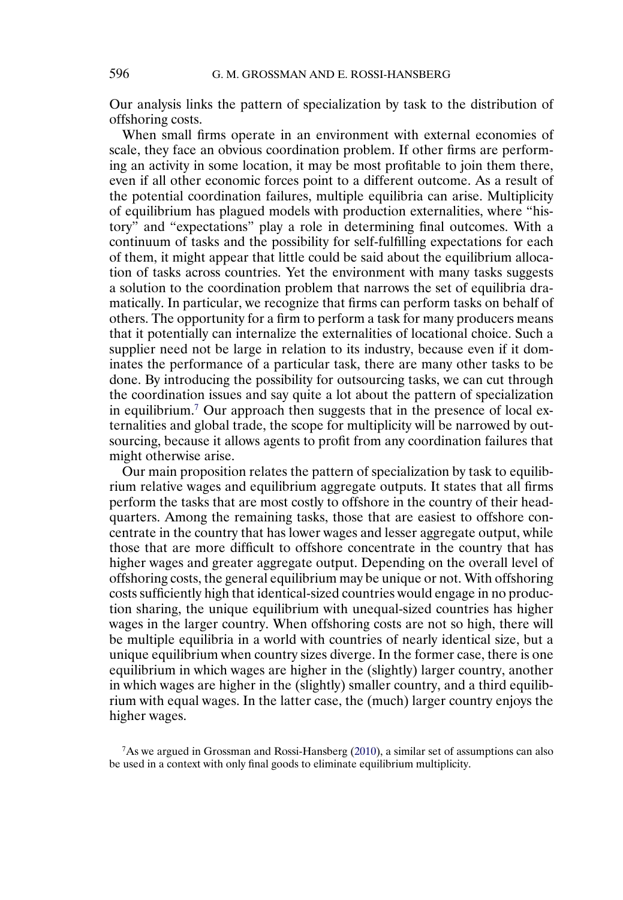<span id="page-3-0"></span>Our analysis links the pattern of specialization by task to the distribution of offshoring costs.

When small firms operate in an environment with external economies of scale, they face an obvious coordination problem. If other firms are performing an activity in some location, it may be most profitable to join them there, even if all other economic forces point to a different outcome. As a result of the potential coordination failures, multiple equilibria can arise. Multiplicity of equilibrium has plagued models with production externalities, where "history" and "expectations" play a role in determining final outcomes. With a continuum of tasks and the possibility for self-fulfilling expectations for each of them, it might appear that little could be said about the equilibrium allocation of tasks across countries. Yet the environment with many tasks suggests a solution to the coordination problem that narrows the set of equilibria dramatically. In particular, we recognize that firms can perform tasks on behalf of others. The opportunity for a firm to perform a task for many producers means that it potentially can internalize the externalities of locational choice. Such a supplier need not be large in relation to its industry, because even if it dominates the performance of a particular task, there are many other tasks to be done. By introducing the possibility for outsourcing tasks, we can cut through the coordination issues and say quite a lot about the pattern of specialization in equilibrium.<sup>7</sup> Our approach then suggests that in the presence of local externalities and global trade, the scope for multiplicity will be narrowed by outsourcing, because it allows agents to profit from any coordination failures that might otherwise arise.

Our main proposition relates the pattern of specialization by task to equilibrium relative wages and equilibrium aggregate outputs. It states that all firms perform the tasks that are most costly to offshore in the country of their headquarters. Among the remaining tasks, those that are easiest to offshore concentrate in the country that has lower wages and lesser aggregate output, while those that are more difficult to offshore concentrate in the country that has higher wages and greater aggregate output. Depending on the overall level of offshoring costs, the general equilibrium may be unique or not. With offshoring costs sufficiently high that identical-sized countries would engage in no production sharing, the unique equilibrium with unequal-sized countries has higher wages in the larger country. When offshoring costs are not so high, there will be multiple equilibria in a world with countries of nearly identical size, but a unique equilibrium when country sizes diverge. In the former case, there is one equilibrium in which wages are higher in the (slightly) larger country, another in which wages are higher in the (slightly) smaller country, and a third equilibrium with equal wages. In the latter case, the (much) larger country enjoys the higher wages.

7As we argued in Grossman and Rossi-Hansberg [\(2010\)](#page-35-0), a similar set of assumptions can also be used in a context with only final goods to eliminate equilibrium multiplicity.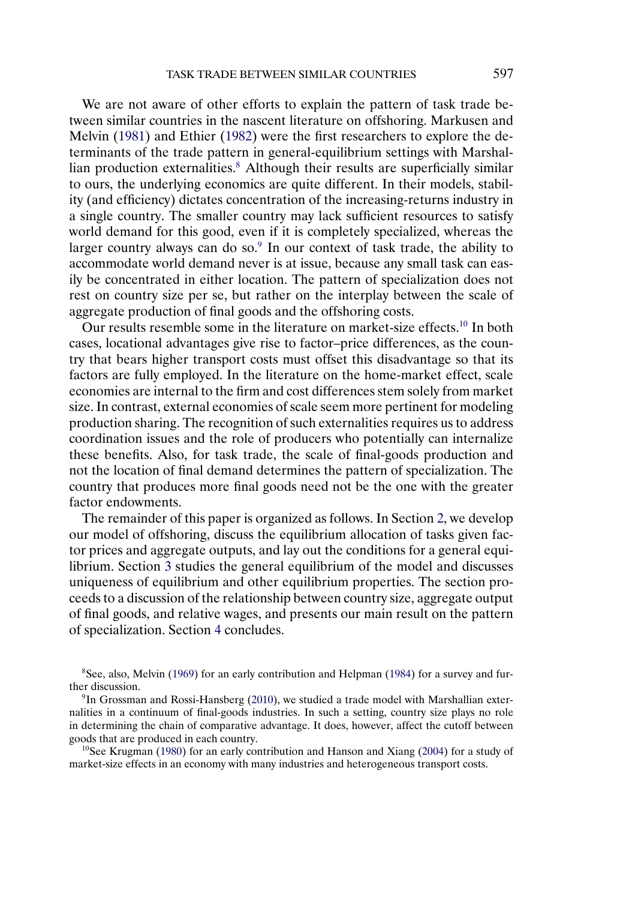<span id="page-4-0"></span>We are not aware of other efforts to explain the pattern of task trade between similar countries in the nascent literature on offshoring. Markusen and Melvin [\(1981\)](#page-36-0) and Ethier [\(1982\)](#page-35-0) were the first researchers to explore the determinants of the trade pattern in general-equilibrium settings with Marshallian production externalities.<sup>8</sup> Although their results are superficially similar to ours, the underlying economics are quite different. In their models, stability (and efficiency) dictates concentration of the increasing-returns industry in a single country. The smaller country may lack sufficient resources to satisfy world demand for this good, even if it is completely specialized, whereas the larger country always can do so. $9 \text{ In our context of task trade, the ability to }$ accommodate world demand never is at issue, because any small task can easily be concentrated in either location. The pattern of specialization does not rest on country size per se, but rather on the interplay between the scale of aggregate production of final goods and the offshoring costs.

Our results resemble some in the literature on market-size effects.10 In both cases, locational advantages give rise to factor–price differences, as the country that bears higher transport costs must offset this disadvantage so that its factors are fully employed. In the literature on the home-market effect, scale economies are internal to the firm and cost differences stem solely from market size. In contrast, external economies of scale seem more pertinent for modeling production sharing. The recognition of such externalities requires us to address coordination issues and the role of producers who potentially can internalize these benefits. Also, for task trade, the scale of final-goods production and not the location of final demand determines the pattern of specialization. The country that produces more final goods need not be the one with the greater factor endowments.

The remainder of this paper is organized as follows. In Section [2,](#page-5-0) we develop our model of offshoring, discuss the equilibrium allocation of tasks given factor prices and aggregate outputs, and lay out the conditions for a general equilibrium. Section [3](#page-20-0) studies the general equilibrium of the model and discusses uniqueness of equilibrium and other equilibrium properties. The section proceeds to a discussion of the relationship between country size, aggregate output of final goods, and relative wages, and presents our main result on the pattern of specialization. Section [4](#page-29-0) concludes.

8See, also, Melvin [\(1969\)](#page-36-0) for an early contribution and Helpman [\(1984\)](#page-35-0) for a survey and further discussion.

10See Krugman [\(1980\)](#page-35-0) for an early contribution and Hanson and Xiang [\(2004\)](#page-35-0) for a study of market-size effects in an economy with many industries and heterogeneous transport costs.

 $9$ In Grossman and Rossi-Hansberg [\(2010\)](#page-35-0), we studied a trade model with Marshallian externalities in a continuum of final-goods industries. In such a setting, country size plays no role in determining the chain of comparative advantage. It does, however, affect the cutoff between goods that are produced in each country.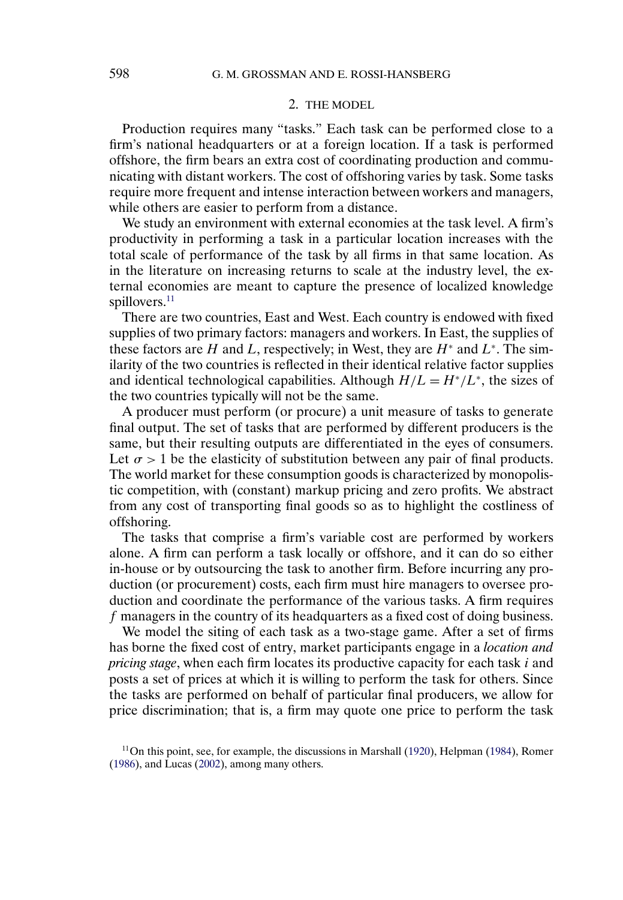# 2. THE MODEL

<span id="page-5-0"></span>Production requires many "tasks." Each task can be performed close to a firm's national headquarters or at a foreign location. If a task is performed offshore, the firm bears an extra cost of coordinating production and communicating with distant workers. The cost of offshoring varies by task. Some tasks require more frequent and intense interaction between workers and managers, while others are easier to perform from a distance.

We study an environment with external economies at the task level. A firm's productivity in performing a task in a particular location increases with the total scale of performance of the task by all firms in that same location. As in the literature on increasing returns to scale at the industry level, the external economies are meant to capture the presence of localized knowledge spillovers.<sup>11</sup>

There are two countries, East and West. Each country is endowed with fixed supplies of two primary factors: managers and workers. In East, the supplies of these factors are H and L, respectively; in West, they are  $H^*$  and  $L^*$ . The similarity of the two countries is reflected in their identical relative factor supplies and identical technological capabilities. Although  $H/L = H^*/L^*$ , the sizes of the two countries typically will not be the same.

A producer must perform (or procure) a unit measure of tasks to generate final output. The set of tasks that are performed by different producers is the same, but their resulting outputs are differentiated in the eyes of consumers. Let  $\sigma > 1$  be the elasticity of substitution between any pair of final products. The world market for these consumption goods is characterized by monopolistic competition, with (constant) markup pricing and zero profits. We abstract from any cost of transporting final goods so as to highlight the costliness of offshoring.

The tasks that comprise a firm's variable cost are performed by workers alone. A firm can perform a task locally or offshore, and it can do so either in-house or by outsourcing the task to another firm. Before incurring any production (or procurement) costs, each firm must hire managers to oversee production and coordinate the performance of the various tasks. A firm requires f managers in the country of its headquarters as a fixed cost of doing business.

We model the siting of each task as a two-stage game. After a set of firms has borne the fixed cost of entry, market participants engage in a *location and pricing stage*, when each firm locates its productive capacity for each task i and posts a set of prices at which it is willing to perform the task for others. Since the tasks are performed on behalf of particular final producers, we allow for price discrimination; that is, a firm may quote one price to perform the task

 $11$ On this point, see, for example, the discussions in Marshall [\(1920\)](#page-36-0), Helpman [\(1984\)](#page-35-0), Romer [\(1986\)](#page-36-0), and Lucas [\(2002\)](#page-36-0), among many others.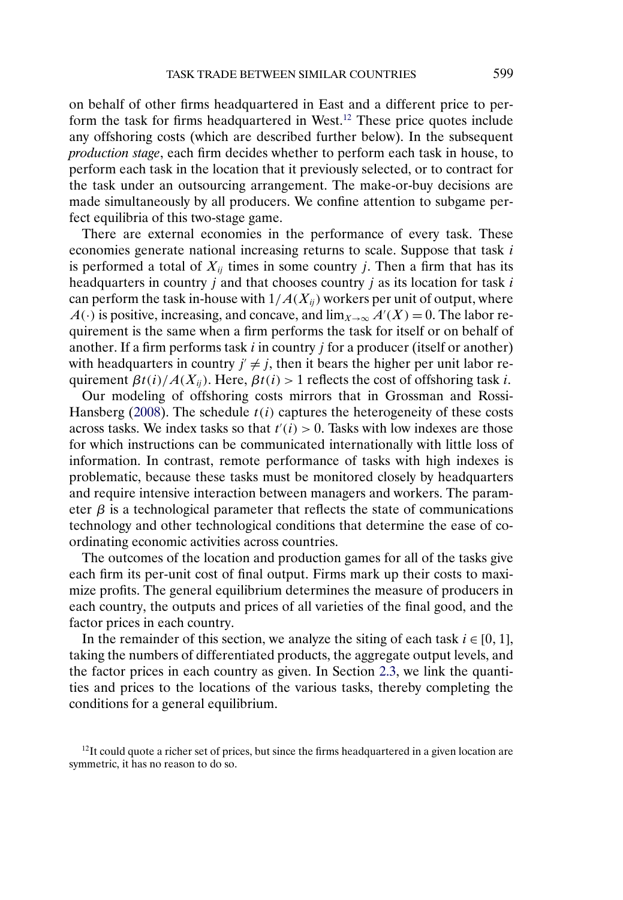on behalf of other firms headquartered in East and a different price to perform the task for firms headquartered in West.12 These price quotes include any offshoring costs (which are described further below). In the subsequent *production stage*, each firm decides whether to perform each task in house, to perform each task in the location that it previously selected, or to contract for the task under an outsourcing arrangement. The make-or-buy decisions are made simultaneously by all producers. We confine attention to subgame perfect equilibria of this two-stage game.

There are external economies in the performance of every task. These economies generate national increasing returns to scale. Suppose that task i is performed a total of  $X_{ii}$  times in some country j. Then a firm that has its headquarters in country  $j$  and that chooses country  $j$  as its location for task  $i$ can perform the task in-house with  $1/A(X_{ii})$  workers per unit of output, where  $A(\cdot)$  is positive, increasing, and concave, and  $\lim_{X\to\infty} A'(X) = 0$ . The labor requirement is the same when a firm performs the task for itself or on behalf of another. If a firm performs task  $i$  in country  $j$  for a producer (itself or another) with headquarters in country  $j' \neq j$ , then it bears the higher per unit labor requirement  $\beta t(i)/A(X_{ii})$ . Here,  $\beta t(i) > 1$  reflects the cost of offshoring task i.

Our modeling of offshoring costs mirrors that in Grossman and Rossi-Hansberg [\(2008\)](#page-35-0). The schedule  $t(i)$  captures the heterogeneity of these costs across tasks. We index tasks so that  $t'(i) > 0$ . Tasks with low indexes are those for which instructions can be communicated internationally with little loss of information. In contrast, remote performance of tasks with high indexes is problematic, because these tasks must be monitored closely by headquarters and require intensive interaction between managers and workers. The parameter  $\beta$  is a technological parameter that reflects the state of communications technology and other technological conditions that determine the ease of coordinating economic activities across countries.

The outcomes of the location and production games for all of the tasks give each firm its per-unit cost of final output. Firms mark up their costs to maximize profits. The general equilibrium determines the measure of producers in each country, the outputs and prices of all varieties of the final good, and the factor prices in each country.

In the remainder of this section, we analyze the siting of each task  $i \in [0, 1]$ , taking the numbers of differentiated products, the aggregate output levels, and the factor prices in each country as given. In Section [2.3,](#page-17-0) we link the quantities and prices to the locations of the various tasks, thereby completing the conditions for a general equilibrium.

 $12$ It could quote a richer set of prices, but since the firms headquartered in a given location are symmetric, it has no reason to do so.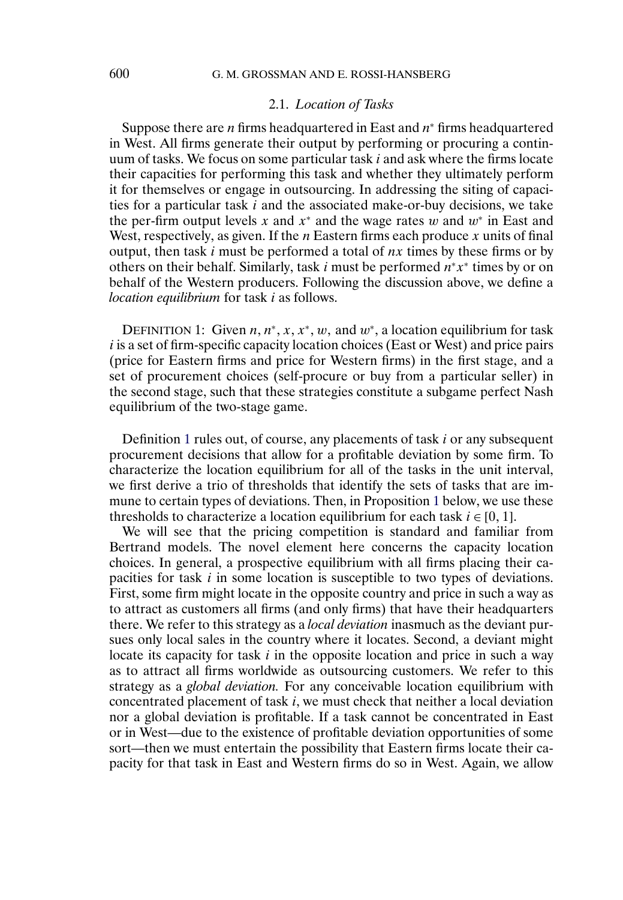# <span id="page-7-0"></span>600 G. M. GROSSMAN AND E. ROSSI-HANSBERG

#### 2.1. *Location of Tasks*

Suppose there are  $n$  firms headquartered in East and  $n^*$  firms headquartered in West. All firms generate their output by performing or procuring a continuum of tasks. We focus on some particular task i and ask where the firms locate their capacities for performing this task and whether they ultimately perform it for themselves or engage in outsourcing. In addressing the siting of capacities for a particular task  $i$  and the associated make-or-buy decisions, we take the per-firm output levels x and  $x^*$  and the wage rates w and  $w^*$  in East and West, respectively, as given. If the *n* Eastern firms each produce x units of final output, then task  $i$  must be performed a total of  $nx$  times by these firms or by others on their behalf. Similarly, task i must be performed  $n^*x^*$  times by or on behalf of the Western producers. Following the discussion above, we define a *location equilibrium* for task i as follows.

DEFINITION 1: Given  $n, n^*, x, x^*, w$ , and  $w^*$ , a location equilibrium for task  $i$  is a set of firm-specific capacity location choices (East or West) and price pairs (price for Eastern firms and price for Western firms) in the first stage, and a set of procurement choices (self-procure or buy from a particular seller) in the second stage, such that these strategies constitute a subgame perfect Nash equilibrium of the two-stage game.

Definition 1 rules out, of course, any placements of task  $i$  or any subsequent procurement decisions that allow for a profitable deviation by some firm. To characterize the location equilibrium for all of the tasks in the unit interval, we first derive a trio of thresholds that identify the sets of tasks that are immune to certain types of deviations. Then, in Proposition [1](#page-15-0) below, we use these thresholds to characterize a location equilibrium for each task  $i \in [0, 1]$ .

We will see that the pricing competition is standard and familiar from Bertrand models. The novel element here concerns the capacity location choices. In general, a prospective equilibrium with all firms placing their capacities for task i in some location is susceptible to two types of deviations. First, some firm might locate in the opposite country and price in such a way as to attract as customers all firms (and only firms) that have their headquarters there. We refer to this strategy as a *local deviation* inasmuch as the deviant pursues only local sales in the country where it locates. Second, a deviant might locate its capacity for task  $i$  in the opposite location and price in such a way as to attract all firms worldwide as outsourcing customers. We refer to this strategy as a *global deviation.* For any conceivable location equilibrium with concentrated placement of task i, we must check that neither a local deviation nor a global deviation is profitable. If a task cannot be concentrated in East or in West—due to the existence of profitable deviation opportunities of some sort—then we must entertain the possibility that Eastern firms locate their capacity for that task in East and Western firms do so in West. Again, we allow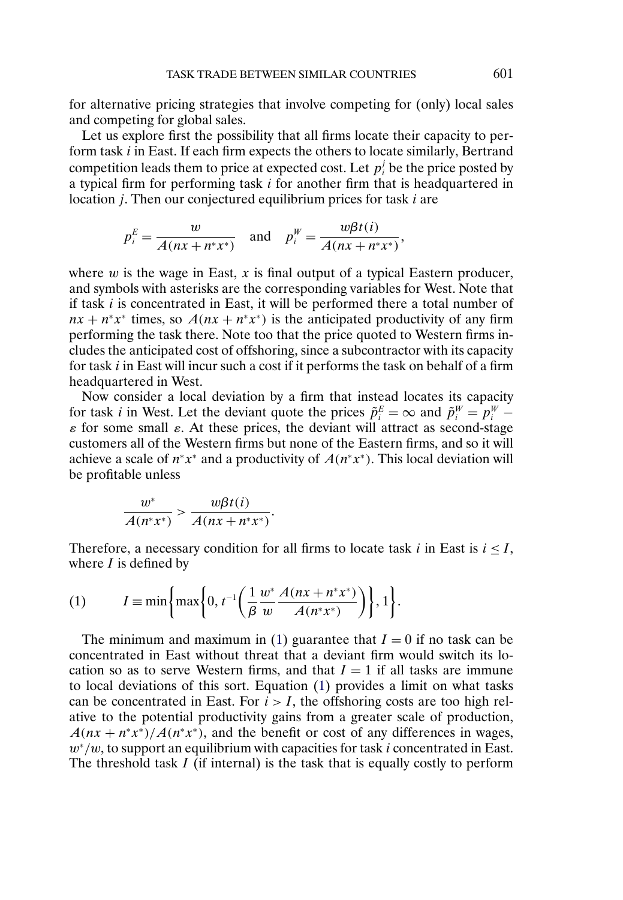<span id="page-8-0"></span>for alternative pricing strategies that involve competing for (only) local sales and competing for global sales.

Let us explore first the possibility that all firms locate their capacity to perform task  $i$  in East. If each firm expects the others to locate similarly, Bertrand competition leads them to price at expected cost. Let  $p_i^j$  be the price posted by a typical firm for performing task i for another firm that is headquartered in location *j*. Then our conjectured equilibrium prices for task *i* are

$$
p_i^E = \frac{w}{A(nx + n^*x^*)}
$$
 and  $p_i^W = \frac{w\beta t(i)}{A(nx + n^*x^*)}$ ,

where  $w$  is the wage in East,  $x$  is final output of a typical Eastern producer, and symbols with asterisks are the corresponding variables for West. Note that if task  $i$  is concentrated in East, it will be performed there a total number of  $nx + n^*x^*$  times, so  $A(nx + n^*x^*)$  is the anticipated productivity of any firm performing the task there. Note too that the price quoted to Western firms includes the anticipated cost of offshoring, since a subcontractor with its capacity for task  $i$  in East will incur such a cost if it performs the task on behalf of a firm headquartered in West.

Now consider a local deviation by a firm that instead locates its capacity for task *i* in West. Let the deviant quote the prices  $\tilde{p}_i^E = \infty$  and  $\tilde{p}_i^W = p_i^W \varepsilon$  for some small  $\varepsilon$ . At these prices, the deviant will attract as second-stage customers all of the Western firms but none of the Eastern firms, and so it will achieve a scale of  $n^*x^*$  and a productivity of  $A(n^*x^*)$ . This local deviation will be profitable unless

$$
\frac{w^*}{A(n^*x^*)} > \frac{w\beta t(i)}{A(nx + n^*x^*)}.
$$

Therefore, a necessary condition for all firms to locate task i in East is  $i \leq I$ , where  $I$  is defined by

(1) 
$$
I = \min \left\{ \max \left\{ 0, t^{-1} \left( \frac{1}{\beta} \frac{w^*}{w} \frac{A(nx + n^*x^*)}{A(n^*x^*)} \right) \right\}, 1 \right\}.
$$

The minimum and maximum in (1) guarantee that  $I = 0$  if no task can be concentrated in East without threat that a deviant firm would switch its location so as to serve Western firms, and that  $I = 1$  if all tasks are immune to local deviations of this sort. Equation (1) provides a limit on what tasks can be concentrated in East. For  $i > I$ , the offshoring costs are too high relative to the potential productivity gains from a greater scale of production,  $A(nx + n*x<sup>*</sup>)/A(n*x<sup>*</sup>)$ , and the benefit or cost of any differences in wages,  $w^*/w$ , to support an equilibrium with capacities for task *i* concentrated in East. The threshold task  $I$  (if internal) is the task that is equally costly to perform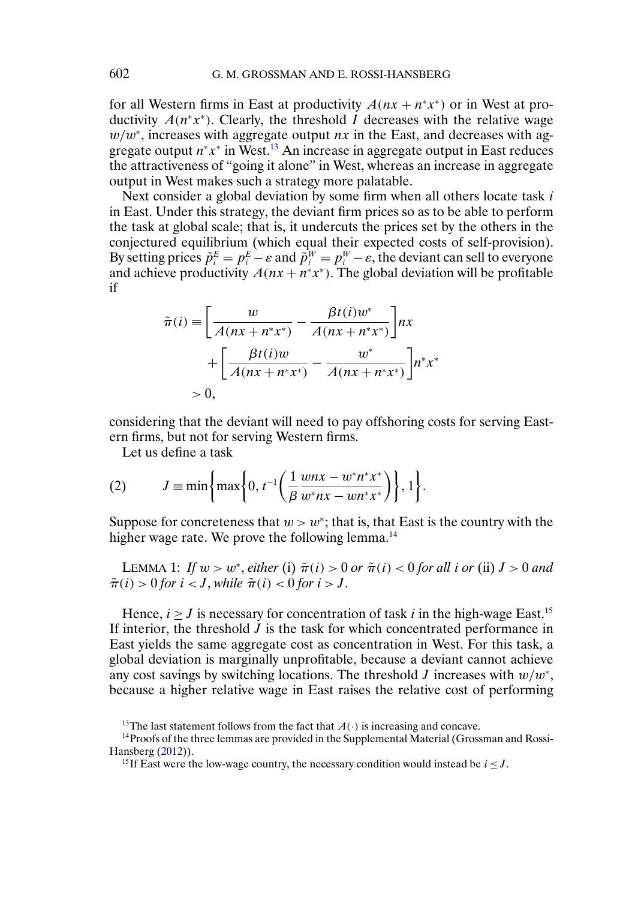<span id="page-9-0"></span>for all Western firms in East at productivity  $A(nx + n^*x^*)$  or in West at productivity  $A(n^*x^*)$ . Clearly, the threshold I decreases with the relative wage  $w/w^*$ , increases with aggregate output nx in the East, and decreases with aggregate output  $n^*x^*$  in West.<sup>13</sup> An increase in aggregate output in East reduces the attractiveness of "going it alone" in West, whereas an increase in aggregate output in West makes such a strategy more palatable.

Next consider a global deviation by some firm when all others locate task  $i$ in East. Under this strategy, the deviant firm prices so as to be able to perform the task at global scale; that is, it undercuts the prices set by the others in the conjectured equilibrium (which equal their expected costs of self-provision). By setting prices  $\tilde{p}_i^E = p_i^E - \varepsilon$  and  $\tilde{p}_i^W = p_i^W - \varepsilon$ , the deviant can sell to everyone and achieve productivity  $A(nx + n*x^*)$ . The global deviation will be profitable if

$$
\tilde{\pi}(i) \equiv \left[ \frac{w}{A(nx + n^*x^*)} - \frac{\beta t(i)w^*}{A(nx + n^*x^*)} \right] nx \n+ \left[ \frac{\beta t(i)w}{A(nx + n^*x^*)} - \frac{w^*}{A(nx + n^*x^*)} \right] n^*x^* \n>0,
$$

considering that the deviant will need to pay offshoring costs for serving Eastern firms, but not for serving Western firms.

Let us define a task

(2) 
$$
J \equiv \min \left\{ \max \left\{ 0, t^{-1} \left( \frac{1}{\beta} \frac{wnx - w^* n^* x^*}{w^* n x - w n^* x^*} \right) \right\}, 1 \right\}.
$$

Suppose for concreteness that  $w>w^*$ ; that is, that East is the country with the higher wage rate. We prove the following lemma.<sup>14</sup>

LEMMA 1: *If*  $w > w^*$ , *either* (i)  $\tilde{\pi}(i) > 0$  *or*  $\tilde{\pi}(i) < 0$  *for all i or* (ii)  $J > 0$  *and*  $\tilde{\pi}(i) > 0$  for  $i < J$ , while  $\tilde{\pi}(i) < 0$  for  $i > J$ .

Hence,  $i \geq J$  is necessary for concentration of task i in the high-wage East.<sup>15</sup> If interior, the threshold  $J$  is the task for which concentrated performance in East yields the same aggregate cost as concentration in West. For this task, a global deviation is marginally unprofitable, because a deviant cannot achieve any cost savings by switching locations. The threshold J increases with  $w/w^*$ , because a higher relative wage in East raises the relative cost of performing

<sup>&</sup>lt;sup>13</sup>The last statement follows from the fact that  $A(\cdot)$  is increasing and concave.

<sup>&</sup>lt;sup>14</sup> Proofs of the three lemmas are provided in the Supplemental Material (Grossman and Rossi-Hansberg [\(2012\)](#page-35-0)).

<sup>&</sup>lt;sup>15</sup>If East were the low-wage country, the necessary condition would instead be  $i \leq J$ .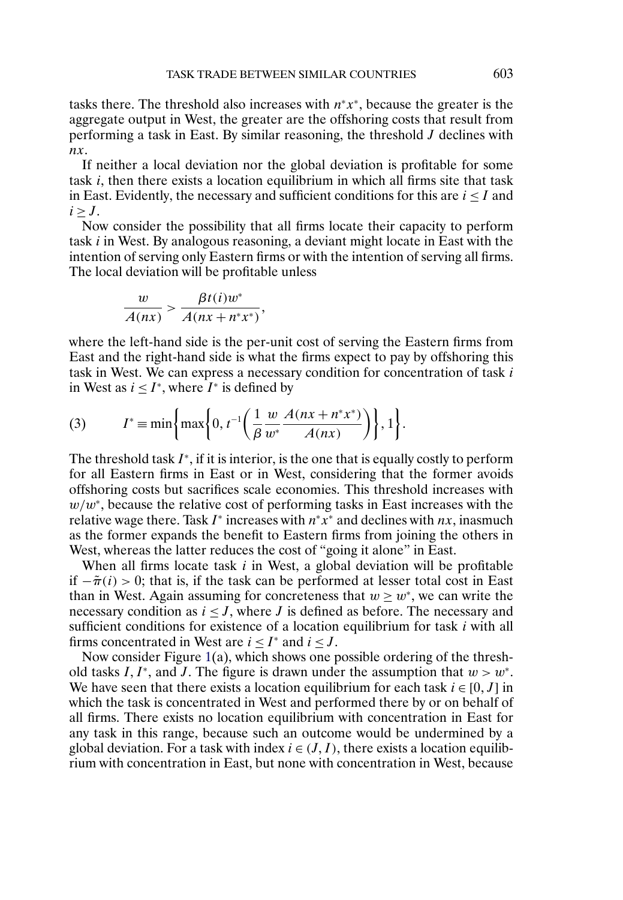<span id="page-10-0"></span>tasks there. The threshold also increases with  $n^*x^*$ , because the greater is the aggregate output in West, the greater are the offshoring costs that result from performing a task in East. By similar reasoning, the threshold J declines with nx.

If neither a local deviation nor the global deviation is profitable for some task i, then there exists a location equilibrium in which all firms site that task in East. Evidently, the necessary and sufficient conditions for this are  $i < I$  and  $i > J$ .

Now consider the possibility that all firms locate their capacity to perform task i in West. By analogous reasoning, a deviant might locate in East with the intention of serving only Eastern firms or with the intention of serving all firms. The local deviation will be profitable unless

$$
\frac{w}{A(nx)} > \frac{\beta t(i)w^*}{A(nx + n^*x^*)},
$$

where the left-hand side is the per-unit cost of serving the Eastern firms from East and the right-hand side is what the firms expect to pay by offshoring this task in West. We can express a necessary condition for concentration of task i in West as  $i < I^*$ , where  $I^*$  is defined by

(3) 
$$
I^* = \min\left\{\max\left\{0, t^{-1}\left(\frac{1}{\beta}\frac{w}{w^*}\frac{A(nx + n^*x^*)}{A(nx)}\right)\right\}, 1\right\}.
$$

The threshold task  $I^*$ , if it is interior, is the one that is equally costly to perform for all Eastern firms in East or in West, considering that the former avoids offshoring costs but sacrifices scale economies. This threshold increases with  $w/w^*$ , because the relative cost of performing tasks in East increases with the relative wage there. Task  $I^*$  increases with  $n^*x^*$  and declines with  $nx$ , inasmuch as the former expands the benefit to Eastern firms from joining the others in West, whereas the latter reduces the cost of "going it alone" in East.

When all firms locate task  $i$  in West, a global deviation will be profitable if  $-\tilde{\pi}(i) > 0$ ; that is, if the task can be performed at lesser total cost in East than in West. Again assuming for concreteness that  $w \geq w^*$ , we can write the necessary condition as  $i < J$ , where J is defined as before. The necessary and sufficient conditions for existence of a location equilibrium for task  $i$  with all firms concentrated in West are  $i < I^*$  and  $i < J$ .

Now consider Figure [1\(](#page-11-0)a), which shows one possible ordering of the threshold tasks I, I<sup>∗</sup>, and J. The figure is drawn under the assumption that  $w > w<sup>*</sup>$ . We have seen that there exists a location equilibrium for each task  $i \in [0, J]$  in which the task is concentrated in West and performed there by or on behalf of all firms. There exists no location equilibrium with concentration in East for any task in this range, because such an outcome would be undermined by a global deviation. For a task with index  $i \in (J, I)$ , there exists a location equilibrium with concentration in East, but none with concentration in West, because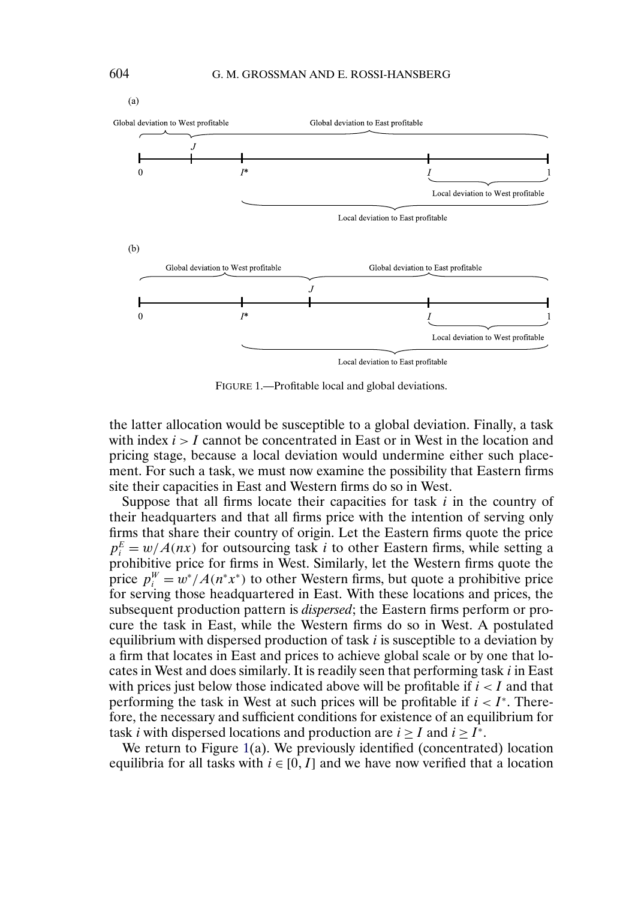

FIGURE 1.—Profitable local and global deviations.

the latter allocation would be susceptible to a global deviation. Finally, a task with index  $i > I$  cannot be concentrated in East or in West in the location and pricing stage, because a local deviation would undermine either such placement. For such a task, we must now examine the possibility that Eastern firms site their capacities in East and Western firms do so in West.

Suppose that all firms locate their capacities for task  $i$  in the country of their headquarters and that all firms price with the intention of serving only firms that share their country of origin. Let the Eastern firms quote the price  $p_i^E = w/A(nx)$  for outsourcing task *i* to other Eastern firms, while setting a prohibitive price for firms in West. Similarly, let the Western firms quote the price  $p_i^W = w^* / A(n^*x^*)$  to other Western firms, but quote a prohibitive price for serving those headquartered in East. With these locations and prices, the subsequent production pattern is *dispersed*; the Eastern firms perform or procure the task in East, while the Western firms do so in West. A postulated equilibrium with dispersed production of task  $i$  is susceptible to a deviation by a firm that locates in East and prices to achieve global scale or by one that locates in West and does similarly. It is readily seen that performing task i in East with prices just below those indicated above will be profitable if  $i < I$  and that performing the task in West at such prices will be profitable if  $i < I^*$ . Therefore, the necessary and sufficient conditions for existence of an equilibrium for task *i* with dispersed locations and production are  $i \geq I$  and  $i \geq I^*$ .

We return to Figure  $1(a)$ . We previously identified (concentrated) location equilibria for all tasks with  $i \in [0, I]$  and we have now verified that a location

<span id="page-11-0"></span>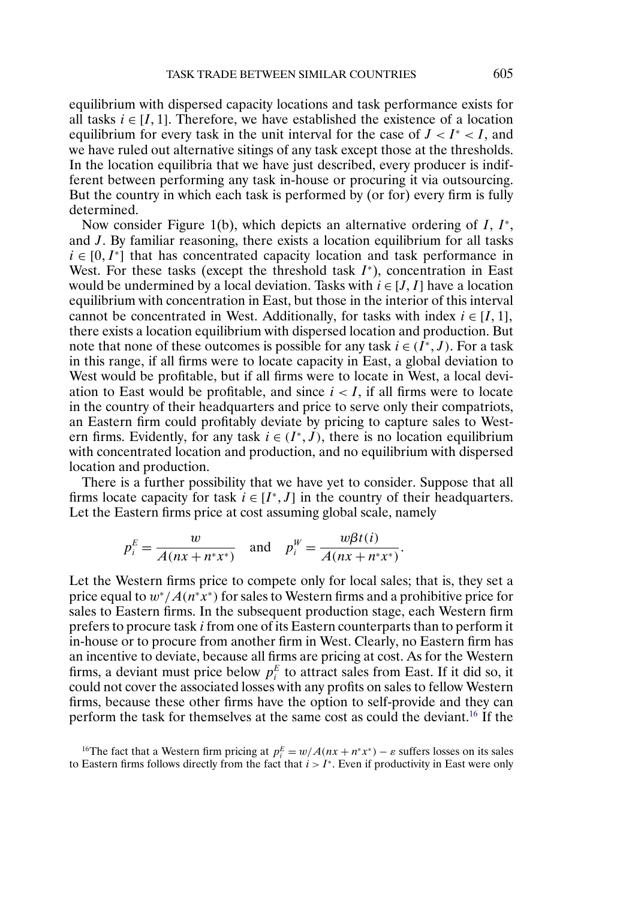equilibrium with dispersed capacity locations and task performance exists for all tasks  $i \in [I, 1]$ . Therefore, we have established the existence of a location equilibrium for every task in the unit interval for the case of  $J < I^* < I$ , and we have ruled out alternative sitings of any task except those at the thresholds. In the location equilibria that we have just described, every producer is indifferent between performing any task in-house or procuring it via outsourcing. But the country in which each task is performed by (or for) every firm is fully determined.

Now consider Figure 1(b), which depicts an alternative ordering of  $I, I^*$ , and J. By familiar reasoning, there exists a location equilibrium for all tasks  $i \in [0, I^*]$  that has concentrated capacity location and task performance in West. For these tasks (except the threshold task  $I^*$ ), concentration in East would be undermined by a local deviation. Tasks with  $i \in [J, I]$  have a location equilibrium with concentration in East, but those in the interior of this interval cannot be concentrated in West. Additionally, for tasks with index  $i \in [I, 1]$ , there exists a location equilibrium with dispersed location and production. But note that none of these outcomes is possible for any task  $i \in (I^*, J)$ . For a task in this range, if all firms were to locate capacity in East, a global deviation to West would be profitable, but if all firms were to locate in West, a local deviation to East would be profitable, and since  $i < I$ , if all firms were to locate in the country of their headquarters and price to serve only their compatriots, an Eastern firm could profitably deviate by pricing to capture sales to Western firms. Evidently, for any task  $i \in (I^*, J)$ , there is no location equilibrium with concentrated location and production, and no equilibrium with dispersed location and production.

There is a further possibility that we have yet to consider. Suppose that all firms locate capacity for task  $i \in [I^*, J]$  in the country of their headquarters. Let the Eastern firms price at cost assuming global scale, namely

$$
p_i^E = \frac{w}{A(nx + n^*x^*)}
$$
 and  $p_i^W = \frac{w\beta t(i)}{A(nx + n^*x^*)}$ .

Let the Western firms price to compete only for local sales; that is, they set a price equal to  $w^*/A(n^*x^*)$  for sales to Western firms and a prohibitive price for sales to Eastern firms. In the subsequent production stage, each Western firm prefers to procure task i from one of its Eastern counterparts than to perform it in-house or to procure from another firm in West. Clearly, no Eastern firm has an incentive to deviate, because all firms are pricing at cost. As for the Western firms, a deviant must price below  $p_i^E$  to attract sales from East. If it did so, it could not cover the associated losses with any profits on sales to fellow Western firms, because these other firms have the option to self-provide and they can perform the task for themselves at the same cost as could the deviant.16 If the

<sup>16</sup>The fact that a Western firm pricing at  $p_i^E = w/A(nx + n^*x^*) - \varepsilon$  suffers losses on its sales to Eastern firms follows directly from the fact that  $i > I^*$ . Even if productivity in East were only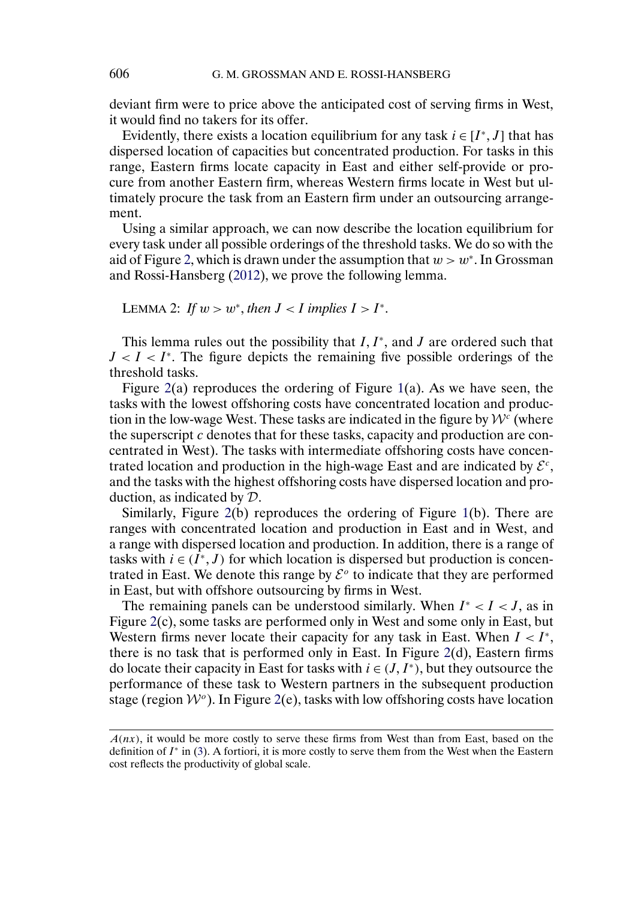deviant firm were to price above the anticipated cost of serving firms in West, it would find no takers for its offer.

Evidently, there exists a location equilibrium for any task  $i \in [I^*, J]$  that has dispersed location of capacities but concentrated production. For tasks in this range, Eastern firms locate capacity in East and either self-provide or procure from another Eastern firm, whereas Western firms locate in West but ultimately procure the task from an Eastern firm under an outsourcing arrangement.

Using a similar approach, we can now describe the location equilibrium for every task under all possible orderings of the threshold tasks. We do so with the aid of Figure [2,](#page-14-0) which is drawn under the assumption that  $w > w^*$ . In Grossman and Rossi-Hansberg [\(2012\)](#page-35-0), we prove the following lemma.

LEMMA 2: *If*  $w > w^*$ , *then*  $J < I$  *implies*  $I > I^*$ .

This lemma rules out the possibility that  $I, I^*$ , and J are ordered such that  $J < I < I^*$ . The figure depicts the remaining five possible orderings of the threshold tasks.

Figure  $2(a)$  $2(a)$  reproduces the ordering of Figure [1\(](#page-11-0)a). As we have seen, the tasks with the lowest offshoring costs have concentrated location and production in the low-wage West. These tasks are indicated in the figure by  $W^c$  (where the superscript  $c$  denotes that for these tasks, capacity and production are concentrated in West). The tasks with intermediate offshoring costs have concentrated location and production in the high-wage East and are indicated by  $\mathcal{E}^c$ , and the tasks with the highest offshoring costs have dispersed location and production, as indicated by D.

Similarly, Figure [2\(](#page-14-0)b) reproduces the ordering of Figure [1\(](#page-11-0)b). There are ranges with concentrated location and production in East and in West, and a range with dispersed location and production. In addition, there is a range of tasks with  $i \in (I^*, J)$  for which location is dispersed but production is concentrated in East. We denote this range by  $\mathcal{E}^{\circ}$  to indicate that they are performed in East, but with offshore outsourcing by firms in West.

The remaining panels can be understood similarly. When  $I^* < I < J$ , as in Figure [2\(](#page-14-0)c), some tasks are performed only in West and some only in East, but Western firms never locate their capacity for any task in East. When  $I < I^*$ , there is no task that is performed only in East. In Figure  $2(d)$  $2(d)$ , Eastern firms do locate their capacity in East for tasks with  $i \in (J, I^*)$ , but they outsource the performance of these task to Western partners in the subsequent production stage (region  $W<sup>o</sup>$ ). In Figure [2\(](#page-14-0)e), tasks with low offshoring costs have location

 $A(nx)$ , it would be more costly to serve these firms from West than from East, based on the definition of  $I^*$  in [\(3\)](#page-10-0). A fortiori, it is more costly to serve them from the West when the Eastern cost reflects the productivity of global scale.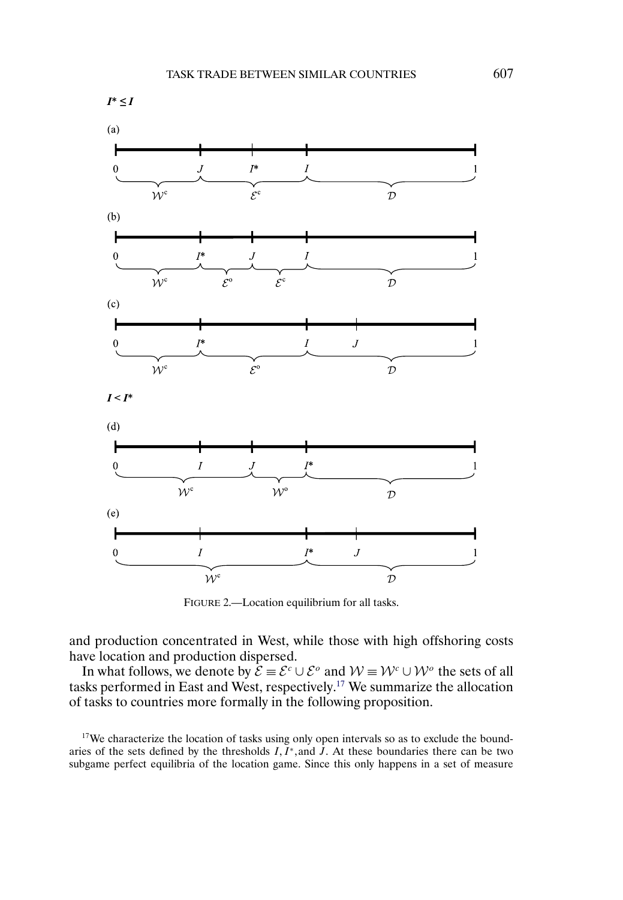<span id="page-14-0"></span>

FIGURE 2.—Location equilibrium for all tasks.

and production concentrated in West, while those with high offshoring costs have location and production dispersed.

In what follows, we denote by  $\mathcal{E} = \mathcal{E}^c \cup \mathcal{E}^o$  and  $\mathcal{W} \equiv \mathcal{W}^c \cup \mathcal{W}^o$  the sets of all tasks performed in East and West, respectively.17 We summarize the allocation of tasks to countries more formally in the following proposition.

<sup>17</sup>We characterize the location of tasks using only open intervals so as to exclude the boundaries of the sets defined by the thresholds  $I, I^*$ , and  $\hat{J}$ . At these boundaries there can be two subgame perfect equilibria of the location game. Since this only happens in a set of measure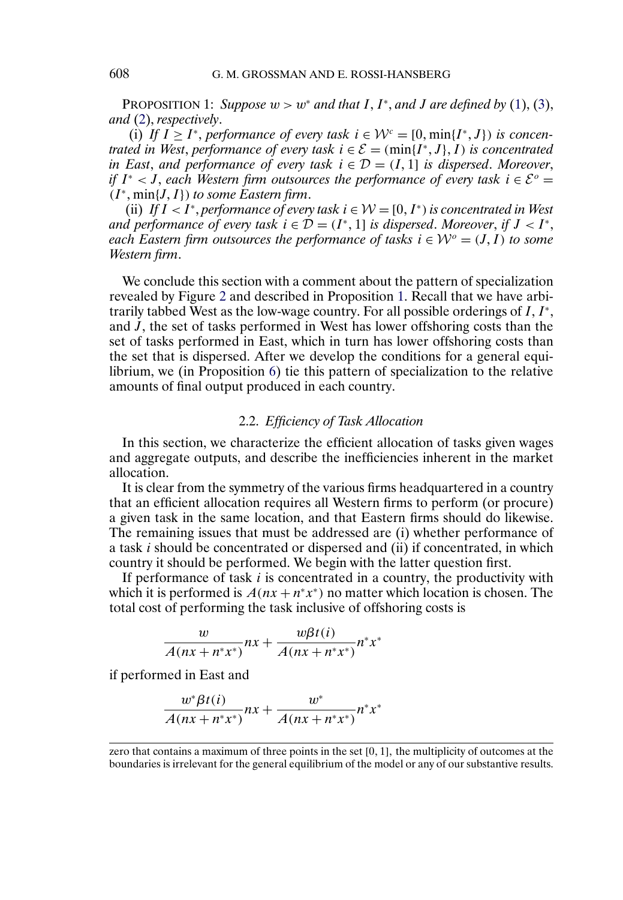<span id="page-15-0"></span>PROPOSITION 1: *Suppose*  $w > w^*$  *and that* I, I<sup>\*</sup>, *and* J are defined by [\(1\)](#page-8-0), [\(3\)](#page-10-0), *and* [\(2\)](#page-9-0), *respectively*.

(i) If  $I > I^*$ , performance of every task  $i \in \mathcal{W}^c = [0, \min\{I^*, J\}]$  is concen*trated in West, performance of every task*  $i \in \mathcal{E} = (\min\{I^*, J\}, I)$  *is concentrated in East, and performance of every task*  $i \in \mathcal{D} = (I, 1)$  *is dispersed. Moreover, if*  $I^*$  < *J*, each Western firm outsources the performance of every task  $i \in \mathcal{E}^{\circ}$  =  $(I^*, \min\{J, I\})$  to some Eastern firm.

(ii) *If*  $I < I^*$ , *performance of every task*  $i \in \mathcal{W} = [0, I^*)$  *is concentrated in West and performance of every task*  $i \in \mathcal{D} = (I^*, 1]$  *is dispersed. Moreover, if*  $J < I^*$ , *each Eastern firm outsources the performance of tasks*  $i \in \mathcal{W}^{\circ} = (J, I)$  *to some Western firm*.

We conclude this section with a comment about the pattern of specialization revealed by Figure [2](#page-14-0) and described in Proposition 1. Recall that we have arbitrarily tabbed West as the low-wage country. For all possible orderings of  $I, I^*$ , and J, the set of tasks performed in West has lower offshoring costs than the set of tasks performed in East, which in turn has lower offshoring costs than the set that is dispersed. After we develop the conditions for a general equilibrium, we (in Proposition [6\)](#page-27-0) tie this pattern of specialization to the relative amounts of final output produced in each country.

## 2.2. *Efficiency of Task Allocation*

In this section, we characterize the efficient allocation of tasks given wages and aggregate outputs, and describe the inefficiencies inherent in the market allocation.

It is clear from the symmetry of the various firms headquartered in a country that an efficient allocation requires all Western firms to perform (or procure) a given task in the same location, and that Eastern firms should do likewise. The remaining issues that must be addressed are (i) whether performance of a task i should be concentrated or dispersed and (ii) if concentrated, in which country it should be performed. We begin with the latter question first.

If performance of task  $i$  is concentrated in a country, the productivity with which it is performed is  $A(nx + n*x^*)$  no matter which location is chosen. The total cost of performing the task inclusive of offshoring costs is

$$
\frac{w}{A(nx+n^*x^*)}nx + \frac{w\beta t(i)}{A(nx+n^*x^*)}n^*x^*
$$

if performed in East and

$$
\frac{w^* \beta t(i)}{A(nx + n^*x^*)} nx + \frac{w^*}{A(nx + n^*x^*)} n^*x^*
$$

zero that contains a maximum of three points in the set  $[0, 1]$ , the multiplicity of outcomes at the boundaries is irrelevant for the general equilibrium of the model or any of our substantive results.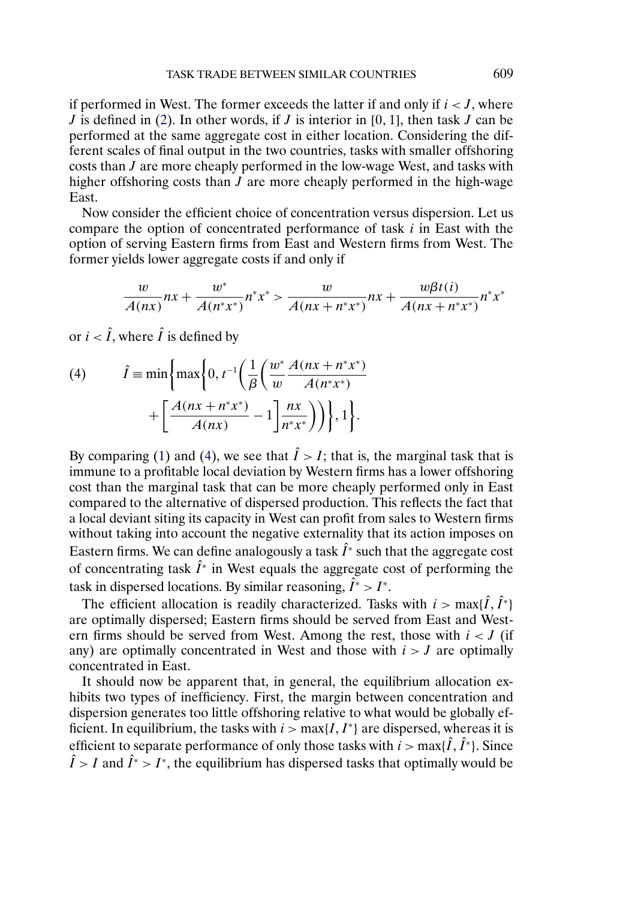if performed in West. The former exceeds the latter if and only if  $i < J$ , where J is defined in [\(2\)](#page-9-0). In other words, if J is interior in [0, 1], then task J can be performed at the same aggregate cost in either location. Considering the different scales of final output in the two countries, tasks with smaller offshoring costs than J are more cheaply performed in the low-wage West, and tasks with higher offshoring costs than *J* are more cheaply performed in the high-wage East.

Now consider the efficient choice of concentration versus dispersion. Let us compare the option of concentrated performance of task  $i$  in East with the option of serving Eastern firms from East and Western firms from West. The former yields lower aggregate costs if and only if

$$
\frac{w}{A(nx)}nx + \frac{w^*}{A(n^*x^*)}n^*x^* > \frac{w}{A(nx + n^*x^*)}nx + \frac{w\beta t(i)}{A(nx + n^*x^*)}n^*x^*
$$

or  $i < \hat{I}$ , where  $\hat{I}$  is defined by

(4) 
$$
\hat{I} \equiv \min \left\{ \max \left\{ 0, t^{-1} \left( \frac{1}{\beta} \left( \frac{w^*}{w} \frac{A(nx + n^*x^*)}{A(n^*x^*)} + \left[ \frac{A(nx + n^*x^*)}{A(nx)} - 1 \right] \frac{nx}{n^*x^*} \right) \right) \right\}, 1 \right\}.
$$

By comparing [\(1\)](#page-8-0) and (4), we see that  $\hat{I} > I$ ; that is, the marginal task that is immune to a profitable local deviation by Western firms has a lower offshoring cost than the marginal task that can be more cheaply performed only in East compared to the alternative of dispersed production. This reflects the fact that a local deviant siting its capacity in West can profit from sales to Western firms without taking into account the negative externality that its action imposes on Eastern firms. We can define analogously a task  $\hat{I}^*$  such that the aggregate cost of concentrating task  $\hat{I}^*$  in West equals the aggregate cost of performing the task in dispersed locations. By similar reasoning,  $\hat{I}^* > I^*$ .

The efficient allocation is readily characterized. Tasks with  $i > max\{\hat{I}, \hat{I}^*\}$ are optimally dispersed; Eastern firms should be served from East and Western firms should be served from West. Among the rest, those with  $i < J$  (if any) are optimally concentrated in West and those with  $i > J$  are optimally concentrated in East.

It should now be apparent that, in general, the equilibrium allocation exhibits two types of inefficiency. First, the margin between concentration and dispersion generates too little offshoring relative to what would be globally efficient. In equilibrium, the tasks with  $i > max\{I, I^*\}$  are dispersed, whereas it is efficient to separate performance of only those tasks with  $i > \max\{\hat{I}, \hat{I}^*\}$ . Since  $\hat{I} > I$  and  $\hat{I}^* > I^*$ , the equilibrium has dispersed tasks that optimally would be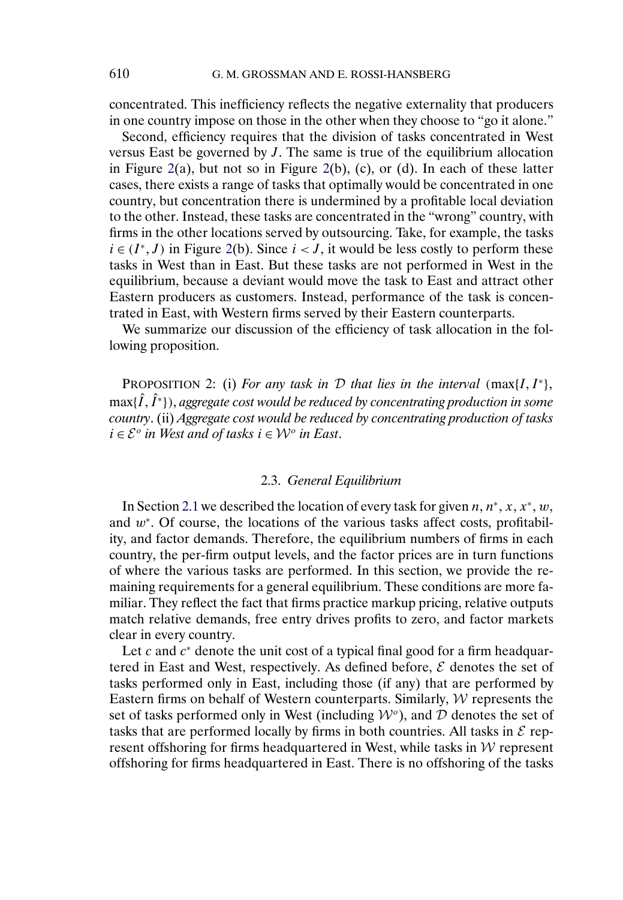<span id="page-17-0"></span>concentrated. This inefficiency reflects the negative externality that producers in one country impose on those in the other when they choose to "go it alone."

Second, efficiency requires that the division of tasks concentrated in West versus East be governed by J. The same is true of the equilibrium allocation in Figure [2\(](#page-14-0)a), but not so in Figure 2(b), (c), or (d). In each of these latter cases, there exists a range of tasks that optimally would be concentrated in one country, but concentration there is undermined by a profitable local deviation to the other. Instead, these tasks are concentrated in the "wrong" country, with firms in the other locations served by outsourcing. Take, for example, the tasks  $i \in (I^*, J)$  in Figure [2\(](#page-14-0)b). Since  $i < J$ , it would be less costly to perform these tasks in West than in East. But these tasks are not performed in West in the equilibrium, because a deviant would move the task to East and attract other Eastern producers as customers. Instead, performance of the task is concentrated in East, with Western firms served by their Eastern counterparts.

We summarize our discussion of the efficiency of task allocation in the following proposition.

PROPOSITION 2: (i) *For any task in*  $D$  *that lies in the interval*  $(\max\{I, I^*\},\$  $\max\{\hat{I},\hat{I}^*\}$ ), aggregate cost would be reduced by concentrating production in some *country*. (ii) *Aggregate cost would be reduced by concentrating production of tasks*  $i \in \mathcal{E}^{\circ}$  *in West and of tasks*  $i \in \mathcal{W}^{\circ}$  *in East.* 

# 2.3. *General Equilibrium*

In Section [2.1](#page-7-0) we described the location of every task for given  $n, n^*, x, x^*, w$ , and  $w^*$ . Of course, the locations of the various tasks affect costs, profitability, and factor demands. Therefore, the equilibrium numbers of firms in each country, the per-firm output levels, and the factor prices are in turn functions of where the various tasks are performed. In this section, we provide the remaining requirements for a general equilibrium. These conditions are more familiar. They reflect the fact that firms practice markup pricing, relative outputs match relative demands, free entry drives profits to zero, and factor markets clear in every country.

Let c and  $c^*$  denote the unit cost of a typical final good for a firm headquartered in East and West, respectively. As defined before,  $\mathcal E$  denotes the set of tasks performed only in East, including those (if any) that are performed by Eastern firms on behalf of Western counterparts. Similarly,  $W$  represents the set of tasks performed only in West (including  $W<sup>o</sup>$ ), and  $D$  denotes the set of tasks that are performed locally by firms in both countries. All tasks in  $\mathcal E$  represent offshoring for firms headquartered in West, while tasks in W represent offshoring for firms headquartered in East. There is no offshoring of the tasks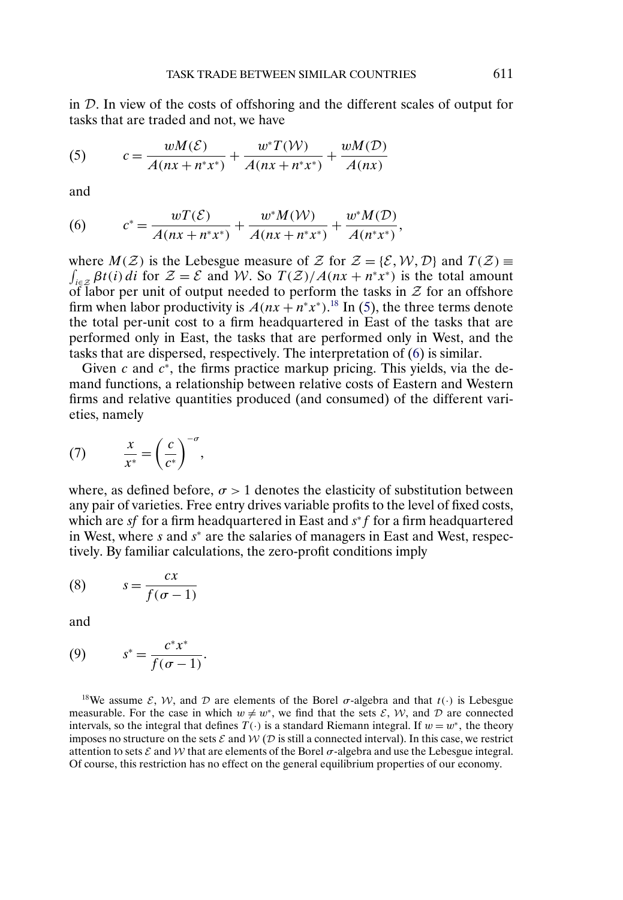<span id="page-18-0"></span>in D. In view of the costs of offshoring and the different scales of output for tasks that are traded and not, we have

(5) 
$$
c = \frac{wM(\mathcal{E})}{A(nx + n^*x^*)} + \frac{w^*T(\mathcal{W})}{A(nx + n^*x^*)} + \frac{wM(\mathcal{D})}{A(nx)}
$$

and

(6) 
$$
c^* = \frac{wT(\mathcal{E})}{A(nx + n^*x^*)} + \frac{w^*M(\mathcal{W})}{A(nx + n^*x^*)} + \frac{w^*M(\mathcal{D})}{A(n^*x^*)},
$$

 $\int_{i\in\mathbb{Z}} \beta t(i) \, di$  for  $\mathcal{Z} = \mathcal{E}$  and W. So  $T(\mathcal{Z})/A(nx + n^*x^*)$  is the total amount where  $M(\mathcal{Z})$  is the Lebesgue measure of  $\mathcal{Z}$  for  $\mathcal{Z} = {\mathcal{E}, \mathcal{W}, \mathcal{D}}$  and  $T(\mathcal{Z}) \equiv$ of labor per unit of output needed to perform the tasks in  $Z$  for an offshore firm when labor productivity is  $A(nx + n^*x^*)$ .<sup>18</sup> In (5), the three terms denote the total per-unit cost to a firm headquartered in East of the tasks that are performed only in East, the tasks that are performed only in West, and the tasks that are dispersed, respectively. The interpretation of (6) is similar.

Given c and  $c^*$ , the firms practice markup pricing. This yields, via the demand functions, a relationship between relative costs of Eastern and Western firms and relative quantities produced (and consumed) of the different varieties, namely

$$
(7) \qquad \frac{x}{x^*} = \left(\frac{c}{c^*}\right)^{-\sigma},
$$

where, as defined before,  $\sigma > 1$  denotes the elasticity of substitution between any pair of varieties. Free entry drives variable profits to the level of fixed costs, which are sf for a firm headquartered in East and  $s<sup>*</sup>f$  for a firm headquartered in West, where s and s<sup>\*</sup> are the salaries of managers in East and West, respectively. By familiar calculations, the zero-profit conditions imply

$$
(8) \qquad s = \frac{cx}{f(\sigma - 1)}
$$

and

(9) 
$$
s^* = \frac{c^* x^*}{f(\sigma - 1)}.
$$

<sup>18</sup>We assume  $\mathcal{E}, \mathcal{W}$ , and  $\mathcal{D}$  are elements of the Borel  $\sigma$ -algebra and that  $t(\cdot)$  is Lebesgue measurable. For the case in which  $w \neq w^*$ , we find that the sets  $\mathcal{E}, \mathcal{W},$  and  $\mathcal{D}$  are connected intervals, so the integral that defines  $T(\cdot)$  is a standard Riemann integral. If  $w = w^*$ , the theory imposes no structure on the sets  $\mathcal E$  and  $\mathcal W(\mathcal D)$  is still a connected interval). In this case, we restrict attention to sets  $\mathcal E$  and  $\mathcal W$  that are elements of the Borel  $\sigma$ -algebra and use the Lebesgue integral. Of course, this restriction has no effect on the general equilibrium properties of our economy.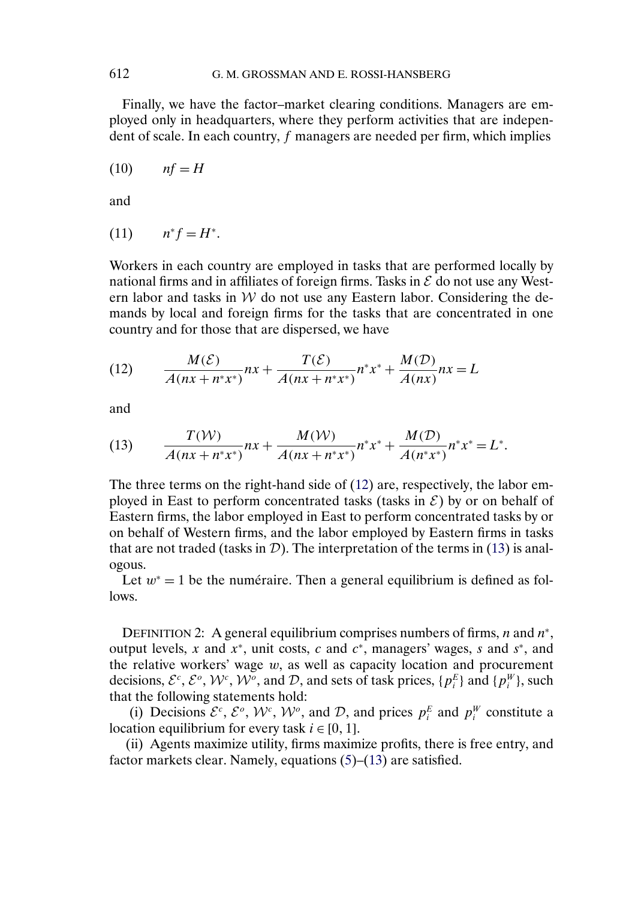<span id="page-19-0"></span>Finally, we have the factor–market clearing conditions. Managers are employed only in headquarters, where they perform activities that are independent of scale. In each country, f managers are needed per firm, which implies

$$
(10) \qquad nf = H
$$

and

$$
(11) \qquad n^*f = H^*.
$$

Workers in each country are employed in tasks that are performed locally by national firms and in affiliates of foreign firms. Tasks in  $\mathcal E$  do not use any Western labor and tasks in  $W$  do not use any Eastern labor. Considering the demands by local and foreign firms for the tasks that are concentrated in one country and for those that are dispersed, we have

(12) 
$$
\frac{M(\mathcal{E})}{A(nx + n^*x^*)}nx + \frac{T(\mathcal{E})}{A(nx + n^*x^*)}n^*x^* + \frac{M(\mathcal{D})}{A(nx)}nx = L
$$

and

(13) 
$$
\frac{T(\mathcal{W})}{A(nx + n^*x^*)}nx + \frac{M(\mathcal{W})}{A(nx + n^*x^*)}n^*x^* + \frac{M(\mathcal{D})}{A(n^*x^*)}n^*x^* = L^*.
$$

The three terms on the right-hand side of (12) are, respectively, the labor employed in East to perform concentrated tasks (tasks in  $\mathcal{E}$ ) by or on behalf of Eastern firms, the labor employed in East to perform concentrated tasks by or on behalf of Western firms, and the labor employed by Eastern firms in tasks that are not traded (tasks in  $D$ ). The interpretation of the terms in (13) is analogous.

Let  $w^* = 1$  be the numéraire. Then a general equilibrium is defined as follows.

DEFINITION 2: A general equilibrium comprises numbers of firms, *n* and  $n^*$ , output levels, x and  $x^*$ , unit costs, c and  $c^*$ , managers' wages, s and  $s^*$ , and the relative workers' wage  $w$ , as well as capacity location and procurement decisions,  $\mathcal{E}^c$ ,  $\mathcal{E}^o$ ,  $\mathcal{W}^c$ ,  $\mathcal{W}^o$ , and  $\mathcal{D}$ , and sets of task prices,  $\{p_i^E\}$  and  $\{p_i^W\}$ , such that the following statements hold:

(i) Decisions  $\mathcal{E}^c$ ,  $\mathcal{E}^o$ ,  $\mathcal{W}^c$ ,  $\mathcal{W}^o$ , and  $\mathcal{D}$ , and prices  $p_i^E$  and  $p_i^W$  constitute a location equilibrium for every task  $i \in [0, 1]$ .

(ii) Agents maximize utility, firms maximize profits, there is free entry, and factor markets clear. Namely, equations [\(5\)](#page-18-0)–(13) are satisfied.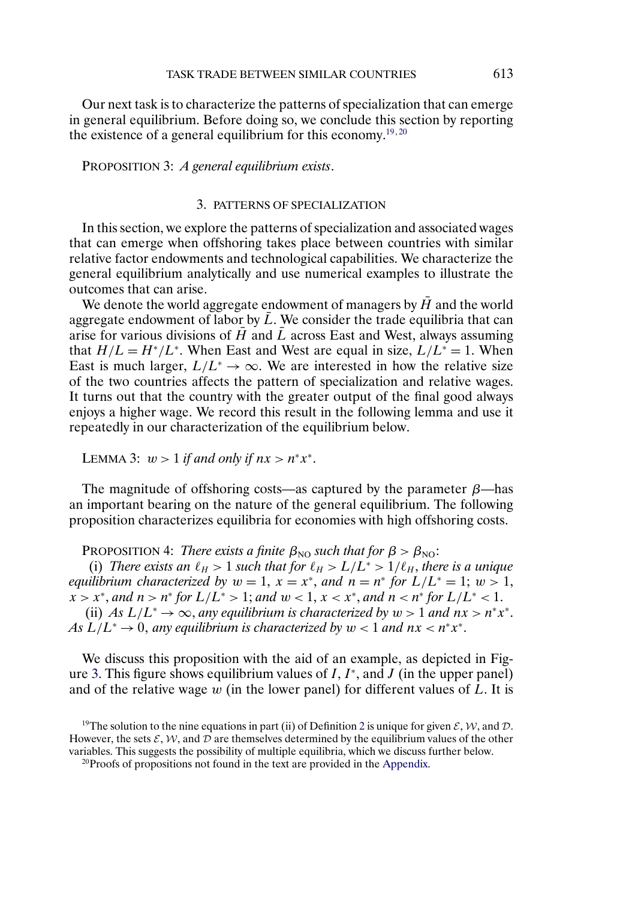<span id="page-20-0"></span>Our next task is to characterize the patterns of specialization that can emerge in general equilibrium. Before doing so, we conclude this section by reporting the existence of a general equilibrium for this economy.<sup>19,20</sup>

PROPOSITION 3: *A general equilibrium exists*.

## 3. PATTERNS OF SPECIALIZATION

In this section, we explore the patterns of specialization and associated wages that can emerge when offshoring takes place between countries with similar relative factor endowments and technological capabilities. We characterize the general equilibrium analytically and use numerical examples to illustrate the outcomes that can arise.

We denote the world aggregate endowment of managers by  $\overline{H}$  and the world aggregate endowment of labor by  $\overline{L}$ . We consider the trade equilibria that can arise for various divisions of  $\bar{H}$  and  $\bar{L}$  across East and West, always assuming that  $H/L = H^*/L^*$ . When East and West are equal in size,  $L/L^* = 1$ . When East is much larger,  $L/L^* \to \infty$ . We are interested in how the relative size of the two countries affects the pattern of specialization and relative wages. It turns out that the country with the greater output of the final good always enjoys a higher wage. We record this result in the following lemma and use it repeatedly in our characterization of the equilibrium below.

LEMMA 3:  $w > 1$  *if and only if*  $nx > n^*x^*$ .

The magnitude of offshoring costs—as captured by the parameter  $\beta$ —has an important bearing on the nature of the general equilibrium. The following proposition characterizes equilibria for economies with high offshoring costs.

**PROPOSITION 4:** *There exists a finite*  $\beta_{\text{NO}}$  *such that for*  $\beta > \beta_{\text{NO}}$ *:* 

(i) *There exists an*  $\ell_H > 1$  *such that for*  $\ell_H > L/L^* > 1/\ell_H$ *, there is a unique equilibrium characterized by*  $w = 1$ ,  $x = x^*$ , *and*  $n = n^*$  *for*  $L/L^* = 1$ ;  $w > 1$ ,  $x > x^*$ , and  $n > n^*$  for  $L/L^* > 1$ ; and  $w < 1$ ,  $x < x^*$ , and  $n < n^*$  for  $L/L^* < 1$ . (ii) *As*  $L/L^* \to \infty$ , *any equilibrium is characterized by*  $w > 1$  *and*  $nx > n^*x^*$ .

*As*  $L/L^* \rightarrow 0$ , any equilibrium is characterized by  $w < 1$  and  $nx < n^*x^*$ .

We discuss this proposition with the aid of an example, as depicted in Fig-ure [3.](#page-21-0) This figure shows equilibrium values of  $I, I^*$ , and  $J$  (in the upper panel) and of the relative wage  $w$  (in the lower panel) for different values of  $L$ . It is

<sup>&</sup>lt;sup>19</sup>The solution to the nine equations in part (ii) of Definition [2](#page-19-0) is unique for given  $\mathcal{E}, \mathcal{W},$  and  $\mathcal{D}$ . However, the sets  $\mathcal{E}, \mathcal{W}$ , and  $\mathcal{D}$  are themselves determined by the equilibrium values of the other variables. This suggests the possibility of multiple equilibria, which we discuss further below.

<sup>&</sup>lt;sup>20</sup>Proofs of propositions not found in the text are provided in the [Appendix.](#page-30-0)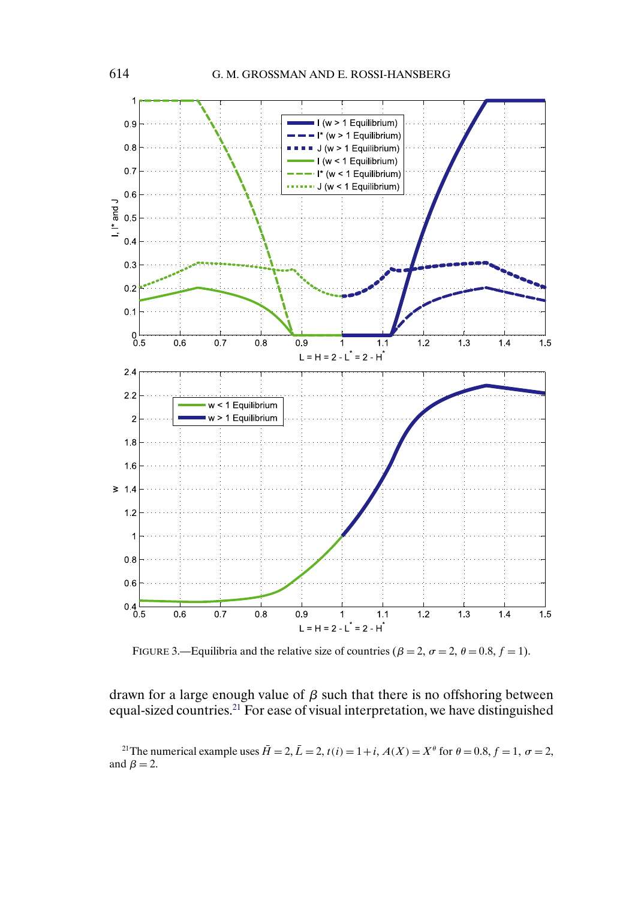<span id="page-21-0"></span>

FIGURE 3.—Equilibria and the relative size of countries ( $\beta = 2$ ,  $\sigma = 2$ ,  $\theta = 0.8$ ,  $f = 1$ ).

drawn for a large enough value of  $\beta$  such that there is no offshoring between equal-sized countries.21 For ease of visual interpretation, we have distinguished

<sup>21</sup>The numerical example uses  $\overline{H} = 2$ ,  $\overline{L} = 2$ ,  $t(i) = 1+i$ ,  $A(X) = X^{\theta}$  for  $\theta = 0.8$ ,  $f = 1$ ,  $\sigma = 2$ , and  $\beta = 2$ .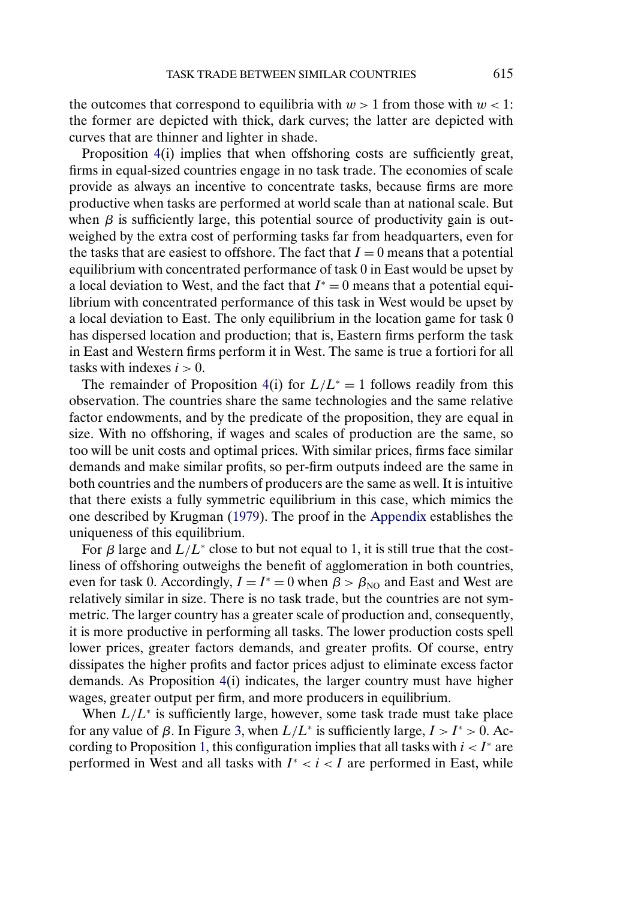<span id="page-22-0"></span>the outcomes that correspond to equilibria with  $w > 1$  from those with  $w < 1$ : the former are depicted with thick, dark curves; the latter are depicted with curves that are thinner and lighter in shade.

Proposition [4\(](#page-20-0)i) implies that when offshoring costs are sufficiently great, firms in equal-sized countries engage in no task trade. The economies of scale provide as always an incentive to concentrate tasks, because firms are more productive when tasks are performed at world scale than at national scale. But when  $\beta$  is sufficiently large, this potential source of productivity gain is outweighed by the extra cost of performing tasks far from headquarters, even for the tasks that are easiest to offshore. The fact that  $I = 0$  means that a potential equilibrium with concentrated performance of task 0 in East would be upset by a local deviation to West, and the fact that  $I^* = 0$  means that a potential equilibrium with concentrated performance of this task in West would be upset by a local deviation to East. The only equilibrium in the location game for task 0 has dispersed location and production; that is, Eastern firms perform the task in East and Western firms perform it in West. The same is true a fortiori for all tasks with indexes  $i > 0$ .

The remainder of Proposition [4\(](#page-20-0)i) for  $L/L^* = 1$  follows readily from this observation. The countries share the same technologies and the same relative factor endowments, and by the predicate of the proposition, they are equal in size. With no offshoring, if wages and scales of production are the same, so too will be unit costs and optimal prices. With similar prices, firms face similar demands and make similar profits, so per-firm outputs indeed are the same in both countries and the numbers of producers are the same as well. It is intuitive that there exists a fully symmetric equilibrium in this case, which mimics the one described by Krugman [\(1979\)](#page-35-0). The proof in the [Appendix](#page-30-0) establishes the uniqueness of this equilibrium.

For  $\beta$  large and  $L/L^*$  close to but not equal to 1, it is still true that the costliness of offshoring outweighs the benefit of agglomeration in both countries, even for task 0. Accordingly,  $I = I^* = 0$  when  $\beta > \beta_{\text{NO}}$  and East and West are relatively similar in size. There is no task trade, but the countries are not symmetric. The larger country has a greater scale of production and, consequently, it is more productive in performing all tasks. The lower production costs spell lower prices, greater factors demands, and greater profits. Of course, entry dissipates the higher profits and factor prices adjust to eliminate excess factor demands. As Proposition [4\(](#page-20-0)i) indicates, the larger country must have higher wages, greater output per firm, and more producers in equilibrium.

When  $L/L^*$  is sufficiently large, however, some task trade must take place for any value of  $\beta$ . In Figure [3,](#page-21-0) when  $L/L^*$  is sufficiently large,  $I > I^* > 0$ . Ac-cording to Proposition [1,](#page-15-0) this configuration implies that all tasks with  $i < I^*$  are performed in West and all tasks with  $I^* < i < I$  are performed in East, while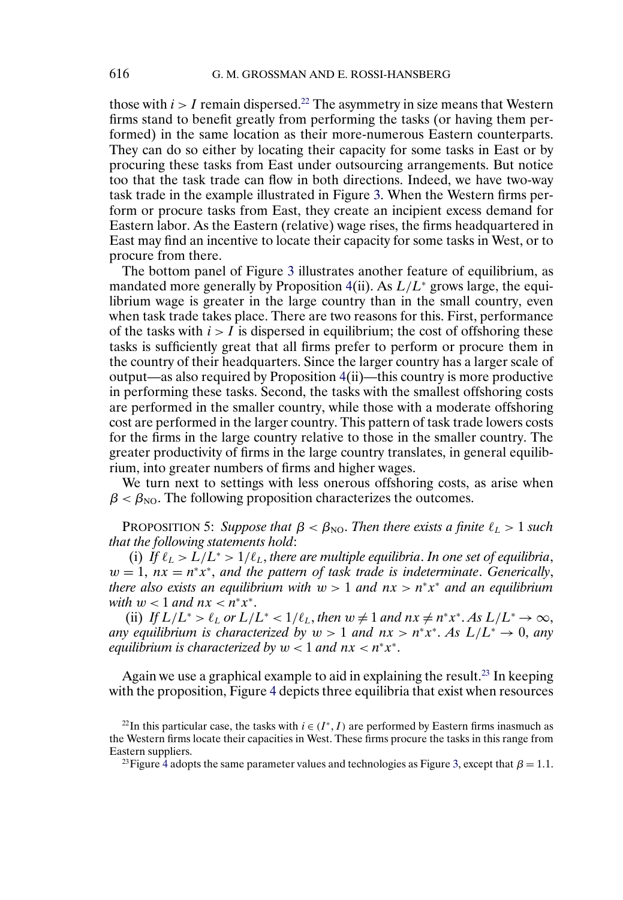<span id="page-23-0"></span>those with  $i > I$  remain dispersed.<sup>22</sup> The asymmetry in size means that Western firms stand to benefit greatly from performing the tasks (or having them performed) in the same location as their more-numerous Eastern counterparts. They can do so either by locating their capacity for some tasks in East or by procuring these tasks from East under outsourcing arrangements. But notice too that the task trade can flow in both directions. Indeed, we have two-way task trade in the example illustrated in Figure [3.](#page-21-0) When the Western firms perform or procure tasks from East, they create an incipient excess demand for Eastern labor. As the Eastern (relative) wage rises, the firms headquartered in East may find an incentive to locate their capacity for some tasks in West, or to procure from there.

The bottom panel of Figure [3](#page-21-0) illustrates another feature of equilibrium, as mandated more generally by Proposition [4\(](#page-20-0)ii). As  $L/L^*$  grows large, the equilibrium wage is greater in the large country than in the small country, even when task trade takes place. There are two reasons for this. First, performance of the tasks with  $i > I$  is dispersed in equilibrium; the cost of offshoring these tasks is sufficiently great that all firms prefer to perform or procure them in the country of their headquarters. Since the larger country has a larger scale of output—as also required by Proposition [4\(](#page-20-0)ii)—this country is more productive in performing these tasks. Second, the tasks with the smallest offshoring costs are performed in the smaller country, while those with a moderate offshoring cost are performed in the larger country. This pattern of task trade lowers costs for the firms in the large country relative to those in the smaller country. The greater productivity of firms in the large country translates, in general equilibrium, into greater numbers of firms and higher wages.

We turn next to settings with less onerous offshoring costs, as arise when  $\beta < \beta_{\text{NO}}$ . The following proposition characterizes the outcomes.

PROPOSITION 5: *Suppose that*  $\beta < \beta_{\text{NO}}$ . *Then there exists a finite*  $\ell_L > 1$  *such that the following statements hold*:

(i) If  $\ell_L > L/L^* > 1/\ell_L$ , there are multiple equilibria. In one set of equilibria,  $w = 1$ ,  $nx = n*x^*$ , and the pattern of task trade is indeterminate. Generically, *there also exists an equilibrium with* w > 1 *and* nx > n<sup>∗</sup>x<sup>∗</sup> *and an equilibrium with*  $w < 1$  *and*  $nx < n^*x^*$ .

(ii) *If*  $L/L^* > \ell_L$  or  $L/L^* < 1/\ell_L$ , then  $w \neq 1$  and  $nx \neq n^*x^*$ . As  $L/L^* \to \infty$ , *any equilibrium is characterized by*  $w > 1$  *and*  $nx > n^*x^*$ . *As*  $L/L^* \rightarrow 0$ , *any equilibrium is characterized by*  $w < 1$  *and*  $nx < n^*x^*$ .

Again we use a graphical example to aid in explaining the result.<sup>23</sup> In keeping with the proposition, Figure [4](#page-24-0) depicts three equilibria that exist when resources

<sup>23</sup>Figure [4](#page-24-0) adopts the same parameter values and technologies as Figure [3,](#page-21-0) except that  $\beta = 1.1$ .

<sup>&</sup>lt;sup>22</sup>In this particular case, the tasks with  $i \in (I^*, I)$  are performed by Eastern firms inasmuch as the Western firms locate their capacities in West. These firms procure the tasks in this range from Eastern suppliers.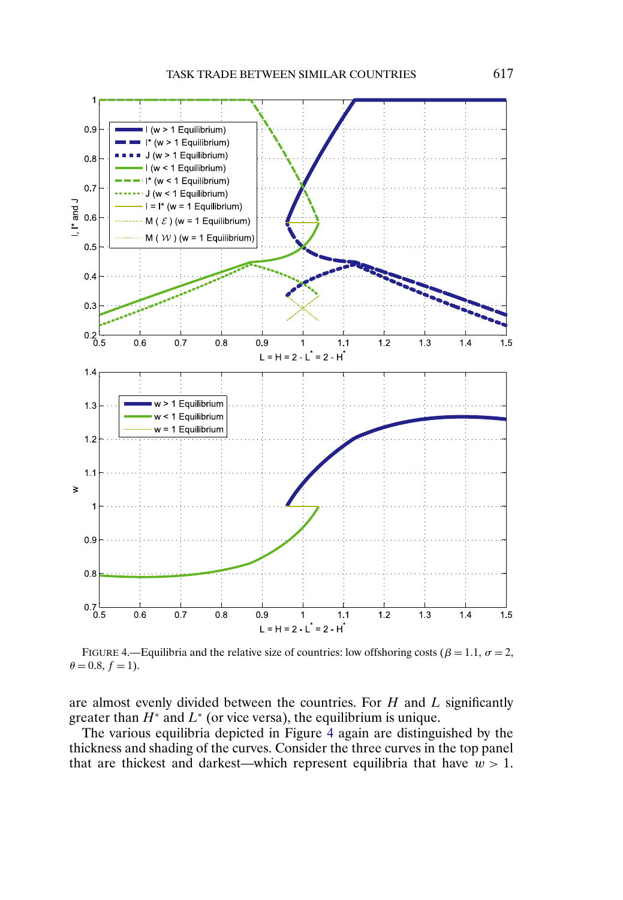<span id="page-24-0"></span>

FIGURE 4.—Equilibria and the relative size of countries: low offshoring costs ( $\beta = 1.1$ ,  $\sigma = 2$ ,  $\theta = 0.8, f = 1$ .

are almost evenly divided between the countries. For  $H$  and  $L$  significantly greater than  $H^*$  and  $L^*$  (or vice versa), the equilibrium is unique.

The various equilibria depicted in Figure 4 again are distinguished by the thickness and shading of the curves. Consider the three curves in the top panel that are thickest and darkest—which represent equilibria that have  $w > 1$ .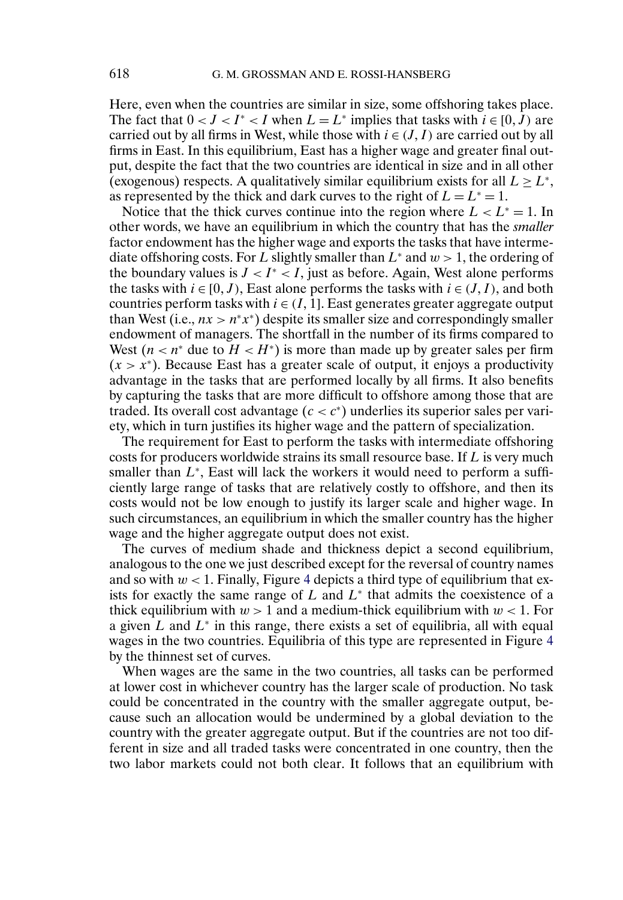Here, even when the countries are similar in size, some offshoring takes place. The fact that  $0 < J < I^* < I$  when  $L = L^*$  implies that tasks with  $i \in [0, J)$  are carried out by all firms in West, while those with  $i \in (J, I)$  are carried out by all firms in East. In this equilibrium, East has a higher wage and greater final output, despite the fact that the two countries are identical in size and in all other (exogenous) respects. A qualitatively similar equilibrium exists for all  $L \geq L^*$ , as represented by the thick and dark curves to the right of  $L = L^* = 1$ .

Notice that the thick curves continue into the region where  $L < L^* = 1$ . In other words, we have an equilibrium in which the country that has the *smaller* factor endowment has the higher wage and exports the tasks that have intermediate offshoring costs. For L slightly smaller than  $L^*$  and  $w > 1$ , the ordering of the boundary values is  $J < I^* < I$ , just as before. Again, West alone performs the tasks with  $i \in [0, J)$ , East alone performs the tasks with  $i \in (J, I)$ , and both countries perform tasks with  $i \in (I, 1]$ . East generates greater aggregate output than West (i.e.,  $nx > n^*x^*$ ) despite its smaller size and correspondingly smaller endowment of managers. The shortfall in the number of its firms compared to West ( $n < n^*$  due to  $H < H^*$ ) is more than made up by greater sales per firm  $(x > x<sup>*</sup>)$ . Because East has a greater scale of output, it enjoys a productivity advantage in the tasks that are performed locally by all firms. It also benefits by capturing the tasks that are more difficult to offshore among those that are traded. Its overall cost advantage ( $c < c<sup>*</sup>$ ) underlies its superior sales per variety, which in turn justifies its higher wage and the pattern of specialization.

The requirement for East to perform the tasks with intermediate offshoring costs for producers worldwide strains its small resource base. If L is very much smaller than  $L^*$ , East will lack the workers it would need to perform a sufficiently large range of tasks that are relatively costly to offshore, and then its costs would not be low enough to justify its larger scale and higher wage. In such circumstances, an equilibrium in which the smaller country has the higher wage and the higher aggregate output does not exist.

The curves of medium shade and thickness depict a second equilibrium, analogous to the one we just described except for the reversal of country names and so with  $w < 1$ . Finally, Figure [4](#page-24-0) depicts a third type of equilibrium that exists for exactly the same range of  $L$  and  $L^*$  that admits the coexistence of a thick equilibrium with  $w > 1$  and a medium-thick equilibrium with  $w < 1$ . For a given L and  $L^*$  in this range, there exists a set of equilibria, all with equal wages in the two countries. Equilibria of this type are represented in Figure [4](#page-24-0) by the thinnest set of curves.

When wages are the same in the two countries, all tasks can be performed at lower cost in whichever country has the larger scale of production. No task could be concentrated in the country with the smaller aggregate output, because such an allocation would be undermined by a global deviation to the country with the greater aggregate output. But if the countries are not too different in size and all traded tasks were concentrated in one country, then the two labor markets could not both clear. It follows that an equilibrium with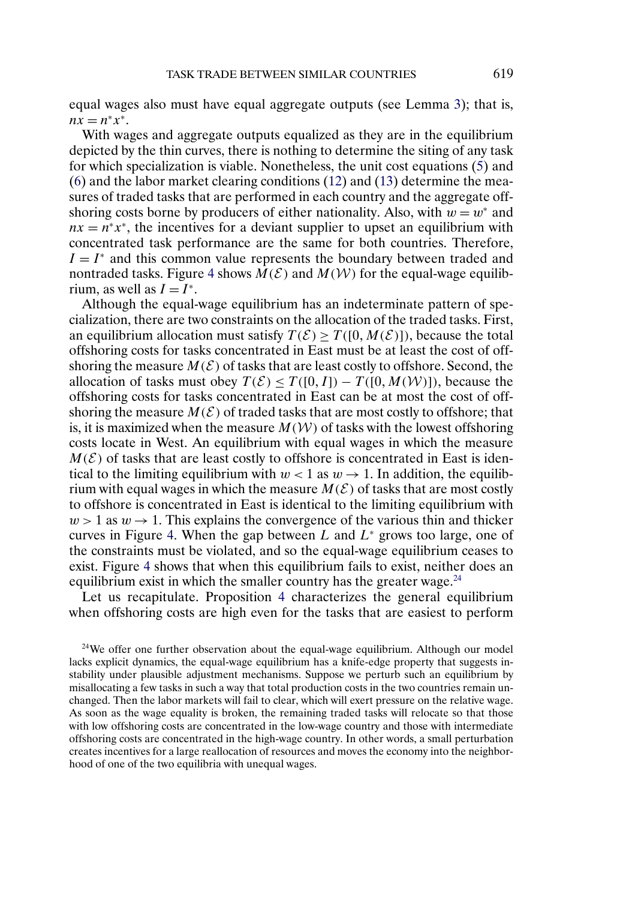equal wages also must have equal aggregate outputs (see Lemma [3\)](#page-20-0); that is,  $nx = n^*x^*$ .

With wages and aggregate outputs equalized as they are in the equilibrium depicted by the thin curves, there is nothing to determine the siting of any task for which specialization is viable. Nonetheless, the unit cost equations [\(5\)](#page-18-0) and [\(6\)](#page-18-0) and the labor market clearing conditions [\(12\)](#page-19-0) and [\(13\)](#page-19-0) determine the measures of traded tasks that are performed in each country and the aggregate offshoring costs borne by producers of either nationality. Also, with  $w = w^*$  and  $nx = n^*x^*$ , the incentives for a deviant supplier to upset an equilibrium with concentrated task performance are the same for both countries. Therefore,  $I = I^*$  and this common value represents the boundary between traded and nontraded tasks. Figure [4](#page-24-0) shows  $\tilde{M}(\mathcal{E})$  and  $M(\mathcal{W})$  for the equal-wage equilibrium, as well as  $I = I^*$ .

Although the equal-wage equilibrium has an indeterminate pattern of specialization, there are two constraints on the allocation of the traded tasks. First, an equilibrium allocation must satisfy  $T(\mathcal{E}) > T([0, M(\mathcal{E})])$ , because the total offshoring costs for tasks concentrated in East must be at least the cost of offshoring the measure  $M(\mathcal{E})$  of tasks that are least costly to offshore. Second, the allocation of tasks must obey  $T(\mathcal{E}) \leq T([0, I]) - T([0, M(\mathcal{W})])$ , because the offshoring costs for tasks concentrated in East can be at most the cost of offshoring the measure  $M(\mathcal{E})$  of traded tasks that are most costly to offshore; that is, it is maximized when the measure  $M(W)$  of tasks with the lowest offshoring costs locate in West. An equilibrium with equal wages in which the measure  $M(\mathcal{E})$  of tasks that are least costly to offshore is concentrated in East is identical to the limiting equilibrium with  $w < 1$  as  $w \to 1$ . In addition, the equilibrium with equal wages in which the measure  $M(\mathcal{E})$  of tasks that are most costly to offshore is concentrated in East is identical to the limiting equilibrium with  $w > 1$  as  $w \to 1$ . This explains the convergence of the various thin and thicker curves in Figure [4.](#page-24-0) When the gap between L and  $L^*$  grows too large, one of the constraints must be violated, and so the equal-wage equilibrium ceases to exist. Figure [4](#page-24-0) shows that when this equilibrium fails to exist, neither does an equilibrium exist in which the smaller country has the greater wage. $24$ 

Let us recapitulate. Proposition [4](#page-20-0) characterizes the general equilibrium when offshoring costs are high even for the tasks that are easiest to perform

<sup>24</sup>We offer one further observation about the equal-wage equilibrium. Although our model lacks explicit dynamics, the equal-wage equilibrium has a knife-edge property that suggests instability under plausible adjustment mechanisms. Suppose we perturb such an equilibrium by misallocating a few tasks in such a way that total production costs in the two countries remain unchanged. Then the labor markets will fail to clear, which will exert pressure on the relative wage. As soon as the wage equality is broken, the remaining traded tasks will relocate so that those with low offshoring costs are concentrated in the low-wage country and those with intermediate offshoring costs are concentrated in the high-wage country. In other words, a small perturbation creates incentives for a large reallocation of resources and moves the economy into the neighborhood of one of the two equilibria with unequal wages.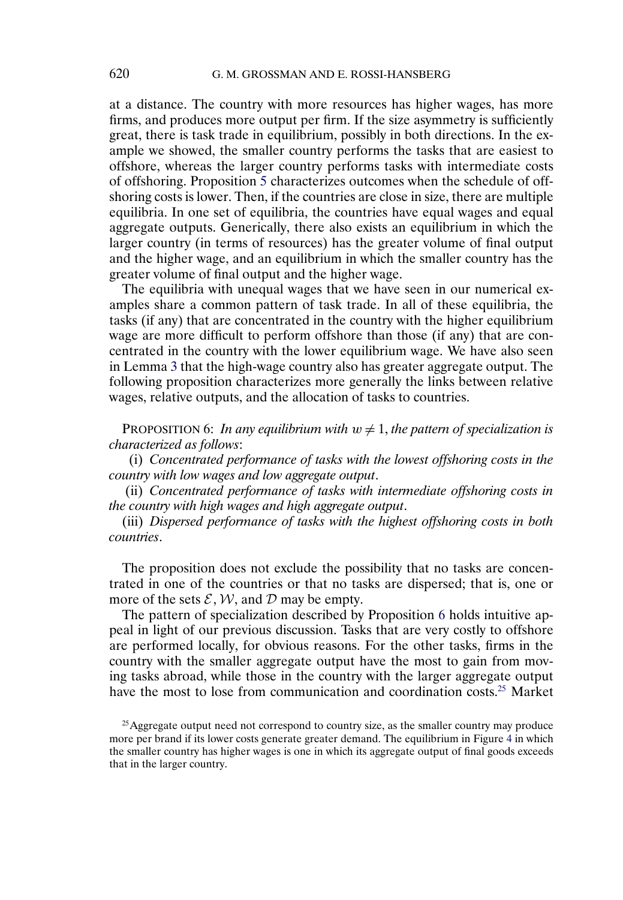<span id="page-27-0"></span>at a distance. The country with more resources has higher wages, has more firms, and produces more output per firm. If the size asymmetry is sufficiently great, there is task trade in equilibrium, possibly in both directions. In the example we showed, the smaller country performs the tasks that are easiest to offshore, whereas the larger country performs tasks with intermediate costs of offshoring. Proposition [5](#page-23-0) characterizes outcomes when the schedule of offshoring costs is lower. Then, if the countries are close in size, there are multiple equilibria. In one set of equilibria, the countries have equal wages and equal aggregate outputs. Generically, there also exists an equilibrium in which the larger country (in terms of resources) has the greater volume of final output and the higher wage, and an equilibrium in which the smaller country has the greater volume of final output and the higher wage.

The equilibria with unequal wages that we have seen in our numerical examples share a common pattern of task trade. In all of these equilibria, the tasks (if any) that are concentrated in the country with the higher equilibrium wage are more difficult to perform offshore than those (if any) that are concentrated in the country with the lower equilibrium wage. We have also seen in Lemma [3](#page-20-0) that the high-wage country also has greater aggregate output. The following proposition characterizes more generally the links between relative wages, relative outputs, and the allocation of tasks to countries.

PROPOSITION 6: *In any equilibrium with*  $w \neq 1$ , *the pattern of specialization is characterized as follows*:

(i) *Concentrated performance of tasks with the lowest offshoring costs in the country with low wages and low aggregate output*.

(ii) *Concentrated performance of tasks with intermediate offshoring costs in the country with high wages and high aggregate output*.

(iii) *Dispersed performance of tasks with the highest offshoring costs in both countries*.

The proposition does not exclude the possibility that no tasks are concentrated in one of the countries or that no tasks are dispersed; that is, one or more of the sets  $\mathcal{E}, \mathcal{W}$ , and  $\mathcal{D}$  may be empty.

The pattern of specialization described by Proposition 6 holds intuitive appeal in light of our previous discussion. Tasks that are very costly to offshore are performed locally, for obvious reasons. For the other tasks, firms in the country with the smaller aggregate output have the most to gain from moving tasks abroad, while those in the country with the larger aggregate output have the most to lose from communication and coordination costs.<sup>25</sup> Market

 $25$ Aggregate output need not correspond to country size, as the smaller country may produce more per brand if its lower costs generate greater demand. The equilibrium in Figure [4](#page-24-0) in which the smaller country has higher wages is one in which its aggregate output of final goods exceeds that in the larger country.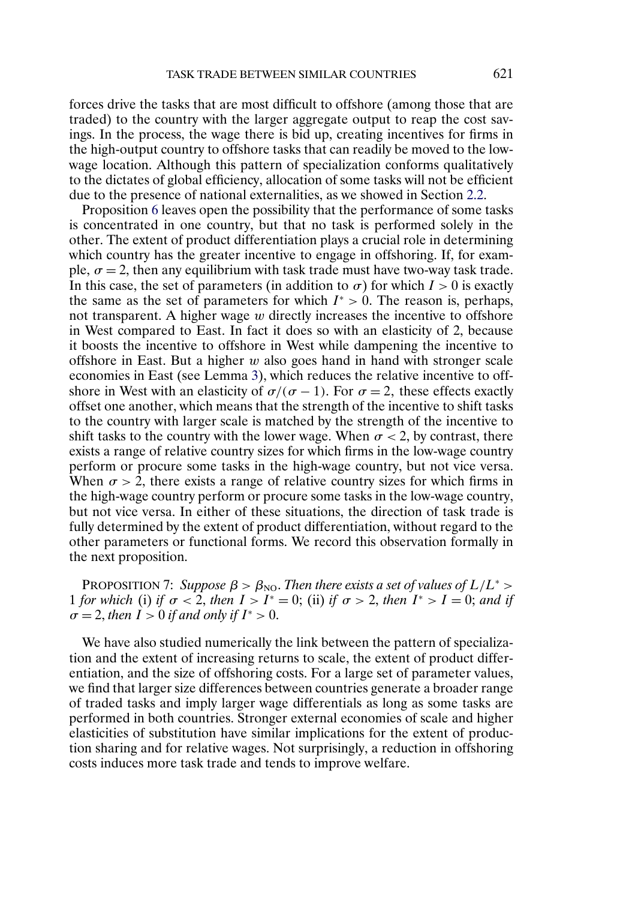<span id="page-28-0"></span>forces drive the tasks that are most difficult to offshore (among those that are traded) to the country with the larger aggregate output to reap the cost savings. In the process, the wage there is bid up, creating incentives for firms in the high-output country to offshore tasks that can readily be moved to the lowwage location. Although this pattern of specialization conforms qualitatively to the dictates of global efficiency, allocation of some tasks will not be efficient due to the presence of national externalities, as we showed in Section [2.2.](#page-15-0)

Proposition [6](#page-27-0) leaves open the possibility that the performance of some tasks is concentrated in one country, but that no task is performed solely in the other. The extent of product differentiation plays a crucial role in determining which country has the greater incentive to engage in offshoring. If, for example,  $\sigma = 2$ , then any equilibrium with task trade must have two-way task trade. In this case, the set of parameters (in addition to  $\sigma$ ) for which  $I > 0$  is exactly the same as the set of parameters for which  $I^* > 0$ . The reason is, perhaps, not transparent. A higher wage  $w$  directly increases the incentive to offshore in West compared to East. In fact it does so with an elasticity of 2, because it boosts the incentive to offshore in West while dampening the incentive to offshore in East. But a higher  $w$  also goes hand in hand with stronger scale economies in East (see Lemma [3\)](#page-20-0), which reduces the relative incentive to offshore in West with an elasticity of  $\sigma/(\sigma - 1)$ . For  $\sigma = 2$ , these effects exactly offset one another, which means that the strength of the incentive to shift tasks to the country with larger scale is matched by the strength of the incentive to shift tasks to the country with the lower wage. When  $\sigma$  < 2, by contrast, there exists a range of relative country sizes for which firms in the low-wage country perform or procure some tasks in the high-wage country, but not vice versa. When  $\sigma > 2$ , there exists a range of relative country sizes for which firms in the high-wage country perform or procure some tasks in the low-wage country, but not vice versa. In either of these situations, the direction of task trade is fully determined by the extent of product differentiation, without regard to the other parameters or functional forms. We record this observation formally in the next proposition.

PROPOSITION 7: *Suppose*  $\beta > \beta_{\text{NO}}$ . *Then there exists a set of values of*  $L/L^*$  > 1 *for which* (i) *if*  $\sigma < 2$ , *then*  $I > I^* = 0$ ; (ii) *if*  $\sigma > 2$ , *then*  $I^* > I = 0$ ; *and if*  $\sigma = 2$ , then  $I > 0$  if and only if  $I^* > 0$ .

We have also studied numerically the link between the pattern of specialization and the extent of increasing returns to scale, the extent of product differentiation, and the size of offshoring costs. For a large set of parameter values, we find that larger size differences between countries generate a broader range of traded tasks and imply larger wage differentials as long as some tasks are performed in both countries. Stronger external economies of scale and higher elasticities of substitution have similar implications for the extent of production sharing and for relative wages. Not surprisingly, a reduction in offshoring costs induces more task trade and tends to improve welfare.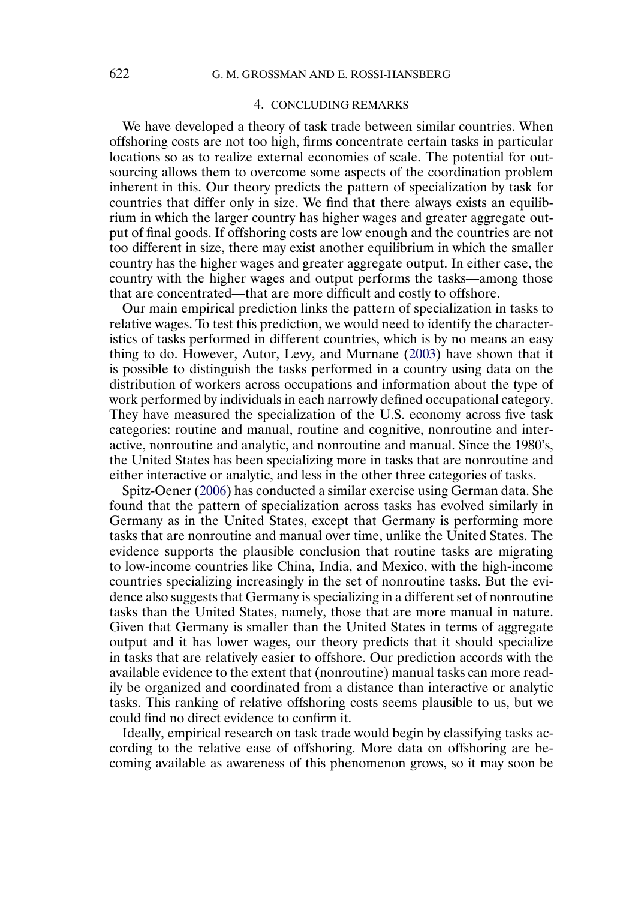## 4. CONCLUDING REMARKS

<span id="page-29-0"></span>We have developed a theory of task trade between similar countries. When offshoring costs are not too high, firms concentrate certain tasks in particular locations so as to realize external economies of scale. The potential for outsourcing allows them to overcome some aspects of the coordination problem inherent in this. Our theory predicts the pattern of specialization by task for countries that differ only in size. We find that there always exists an equilibrium in which the larger country has higher wages and greater aggregate output of final goods. If offshoring costs are low enough and the countries are not too different in size, there may exist another equilibrium in which the smaller country has the higher wages and greater aggregate output. In either case, the country with the higher wages and output performs the tasks—among those that are concentrated—that are more difficult and costly to offshore.

Our main empirical prediction links the pattern of specialization in tasks to relative wages. To test this prediction, we would need to identify the characteristics of tasks performed in different countries, which is by no means an easy thing to do. However, Autor, Levy, and Murnane [\(2003\)](#page-35-0) have shown that it is possible to distinguish the tasks performed in a country using data on the distribution of workers across occupations and information about the type of work performed by individuals in each narrowly defined occupational category. They have measured the specialization of the U.S. economy across five task categories: routine and manual, routine and cognitive, nonroutine and interactive, nonroutine and analytic, and nonroutine and manual. Since the 1980's, the United States has been specializing more in tasks that are nonroutine and either interactive or analytic, and less in the other three categories of tasks.

Spitz-Oener [\(2006\)](#page-36-0) has conducted a similar exercise using German data. She found that the pattern of specialization across tasks has evolved similarly in Germany as in the United States, except that Germany is performing more tasks that are nonroutine and manual over time, unlike the United States. The evidence supports the plausible conclusion that routine tasks are migrating to low-income countries like China, India, and Mexico, with the high-income countries specializing increasingly in the set of nonroutine tasks. But the evidence also suggests that Germany is specializing in a different set of nonroutine tasks than the United States, namely, those that are more manual in nature. Given that Germany is smaller than the United States in terms of aggregate output and it has lower wages, our theory predicts that it should specialize in tasks that are relatively easier to offshore. Our prediction accords with the available evidence to the extent that (nonroutine) manual tasks can more readily be organized and coordinated from a distance than interactive or analytic tasks. This ranking of relative offshoring costs seems plausible to us, but we could find no direct evidence to confirm it.

Ideally, empirical research on task trade would begin by classifying tasks according to the relative ease of offshoring. More data on offshoring are becoming available as awareness of this phenomenon grows, so it may soon be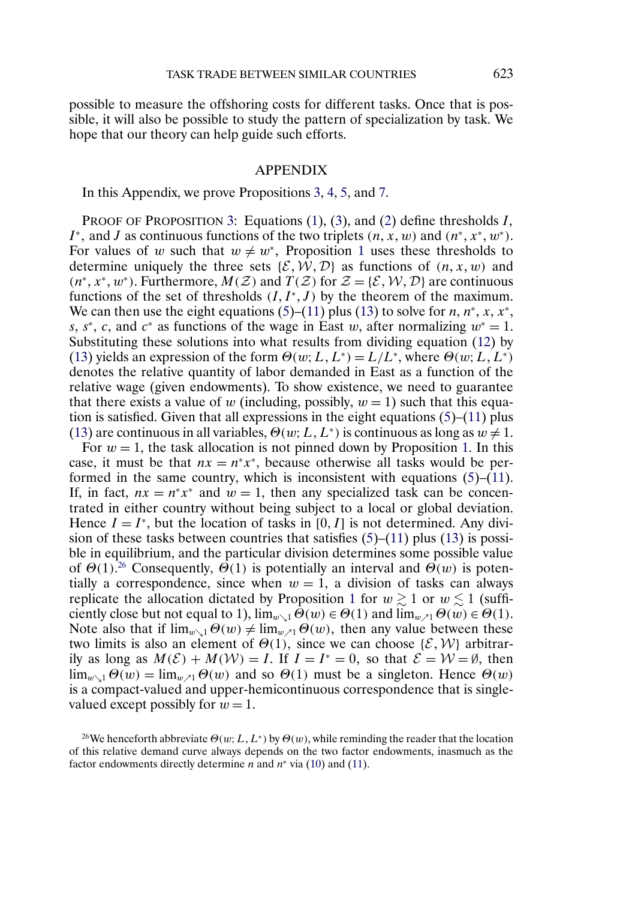<span id="page-30-0"></span>possible to measure the offshoring costs for different tasks. Once that is possible, it will also be possible to study the pattern of specialization by task. We hope that our theory can help guide such efforts.

## APPENDIX

In this Appendix, we prove Propositions [3,](#page-20-0) [4,](#page-20-0) [5,](#page-23-0) and [7.](#page-28-0)

PROOF OF PROPOSITION [3:](#page-20-0) Equations  $(1)$ ,  $(3)$ , and  $(2)$  define thresholds I, I<sup>∗</sup>, and J as continuous functions of the two triplets  $(n, x, w)$  and  $(n<sup>*</sup>, x<sup>*</sup>, w<sup>*</sup>)$ . For values of w such that  $w \neq w^*$ , Proposition [1](#page-15-0) uses these thresholds to determine uniquely the three sets  $\{\mathcal{E}, \mathcal{W}, \mathcal{D}\}$  as functions of  $(n, x, w)$  and  $(n^*, x^*, w^*)$ . Furthermore,  $M(\mathcal{Z})$  and  $T(\mathcal{Z})$  for  $\mathcal{Z} = {\mathcal{E}, \mathcal{W}, \mathcal{D}}$  are continuous functions of the set of thresholds  $(I, I^*, J)$  by the theorem of the maximum. We can then use the eight equations [\(5\)](#page-18-0)–[\(11\)](#page-19-0) plus [\(13\)](#page-19-0) to solve for  $n, n^*, x, x^*$ , s, s<sup>\*</sup>, c, and c<sup>\*</sup> as functions of the wage in East w, after normalizing  $w^* = 1$ . Substituting these solutions into what results from dividing equation [\(12\)](#page-19-0) by [\(13\)](#page-19-0) yields an expression of the form  $\Theta(w;L,L^*) = L/L^*$ , where  $\Theta(w;L,L^*)$ denotes the relative quantity of labor demanded in East as a function of the relative wage (given endowments). To show existence, we need to guarantee that there exists a value of w (including, possibly,  $w = 1$ ) such that this equation is satisfied. Given that all expressions in the eight equations  $(5)$ – $(11)$  plus [\(13\)](#page-19-0) are continuous in all variables,  $\Theta(w;L,L^*)$  is continuous as long as  $w \neq 1$ .

For  $w = 1$ , the task allocation is not pinned down by Proposition [1.](#page-15-0) In this case, it must be that  $nx = n^*x^*$ , because otherwise all tasks would be performed in the same country, which is inconsistent with equations  $(5)$ – $(11)$ . If, in fact,  $nx = n^*x^*$  and  $w = 1$ , then any specialized task can be concentrated in either country without being subject to a local or global deviation. Hence  $I = I^*$ , but the location of tasks in [0, I] is not determined. Any division of these tasks between countries that satisfies  $(5)$ – $(11)$  plus  $(13)$  is possible in equilibrium, and the particular division determines some possible value of  $\Theta(1)$ .<sup>26</sup> Consequently,  $\Theta(1)$  is potentially an interval and  $\Theta(w)$  is potentially a correspondence, since when  $w = 1$ , a division of tasks can always replicate the allocation dictated by Proposition [1](#page-15-0) for  $w \gtrsim 1$  or  $w \lesssim 1$  (sufficiently close but not equal to 1),  $\lim_{w\setminus 1} \Theta(w) \in \Theta(1)$  and  $\lim_{w\to 1} \Theta(w) \in \Theta(1)$ . Note also that if  $\lim_{w\setminus 1} \Theta(w) \neq \lim_{w\setminus 1} \Theta(w)$ , then any value between these two limits is also an element of  $\Theta(1)$ , since we can choose { $\mathcal{E}, \mathcal{W}$ } arbitrarily as long as  $M(\mathcal{E}) + M(\mathcal{W}) = I$ . If  $I = I^* = 0$ , so that  $\mathcal{E} = \mathcal{W} = \emptyset$ , then  $\lim_{w\setminus 1} \Theta(w) = \lim_{w\setminus 1} \Theta(w)$  and so  $\Theta(1)$  must be a singleton. Hence  $\Theta(w)$ is a compact-valued and upper-hemicontinuous correspondence that is singlevalued except possibly for  $w = 1$ .

<sup>26</sup>We henceforth abbreviate  $\Theta(w;L,L^*)$  by  $\Theta(w)$ , while reminding the reader that the location of this relative demand curve always depends on the two factor endowments, inasmuch as the factor endowments directly determine *n* and  $n^*$  via [\(10\)](#page-19-0) and [\(11\)](#page-19-0).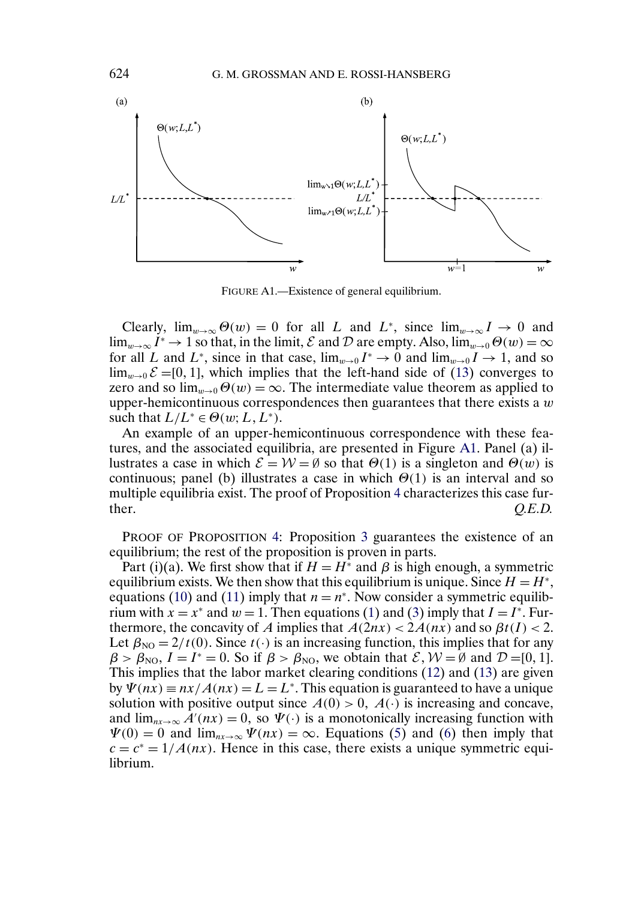<span id="page-31-0"></span>

FIGURE A1.—Existence of general equilibrium.

Clearly,  $\lim_{w\to\infty} \Theta(w) = 0$  for all L and L<sup>\*</sup>, since  $\lim_{w\to\infty} I \to 0$  and  $\lim_{w\to\infty} I^* \to 1$  so that, in the limit,  $\mathcal E$  and  $\mathcal D$  are empty. Also,  $\lim_{w\to 0} \Theta(w) = \infty$ for all L and L<sup>\*</sup>, since in that case,  $\lim_{w\to 0} I^* \to 0$  and  $\lim_{w\to 0} I \to 1$ , and so  $\lim_{w\to 0} \mathcal{E} = [0, 1]$ , which implies that the left-hand side of [\(13\)](#page-19-0) converges to zero and so  $\lim_{w\to 0} \Theta(w) = \infty$ . The intermediate value theorem as applied to upper-hemicontinuous correspondences then guarantees that there exists a  $w$ such that  $L/L^* \in \Theta(w; L, L^*).$ 

An example of an upper-hemicontinuous correspondence with these features, and the associated equilibria, are presented in Figure A1. Panel (a) illustrates a case in which  $\mathcal{E} = \mathcal{W} = \emptyset$  so that  $\Theta(1)$  is a singleton and  $\Theta(w)$  is continuous; panel (b) illustrates a case in which  $\Theta(1)$  is an interval and so multiple equilibria exist. The proof of Proposition [4](#page-20-0) characterizes this case further. *Q.E.D.*

PROOF OF PROPOSITION [4:](#page-20-0) Proposition [3](#page-20-0) guarantees the existence of an equilibrium; the rest of the proposition is proven in parts.

Part (i)(a). We first show that if  $H = H^*$  and  $\beta$  is high enough, a symmetric equilibrium exists. We then show that this equilibrium is unique. Since  $H = H^*$ , equations [\(10\)](#page-19-0) and [\(11\)](#page-19-0) imply that  $n = n^*$ . Now consider a symmetric equilibrium with  $x = x^*$  and  $w = 1$ . Then equations [\(1\)](#page-8-0) and [\(3\)](#page-10-0) imply that  $I = I^*$ . Furthermore, the concavity of A implies that  $A(2nx) < 2A(nx)$  and so  $\beta t(I) < 2$ . Let  $\beta_{\text{NO}} = 2/t(0)$ . Since  $t(\cdot)$  is an increasing function, this implies that for any  $\beta > \beta_{\text{NO}}$ ,  $I = I^* = 0$ . So if  $\beta > \beta_{\text{NO}}$ , we obtain that  $\mathcal{E}, \mathcal{W} = \emptyset$  and  $\mathcal{D} = [0, 1]$ . This implies that the labor market clearing conditions [\(12\)](#page-19-0) and [\(13\)](#page-19-0) are given by  $\Psi(nx) \equiv nx/A(nx) = L = L^*$ . This equation is guaranteed to have a unique solution with positive output since  $A(0) > 0$ ,  $A(\cdot)$  is increasing and concave, and  $\lim_{nx\to\infty} A'(nx) = 0$ , so  $\Psi(\cdot)$  is a monotonically increasing function with  $\Psi(0) = 0$  and  $\lim_{nx \to \infty} \Psi(nx) = \infty$ . Equations [\(5\)](#page-18-0) and [\(6\)](#page-18-0) then imply that  $c = c^* = 1/A(nx)$ . Hence in this case, there exists a unique symmetric equilibrium.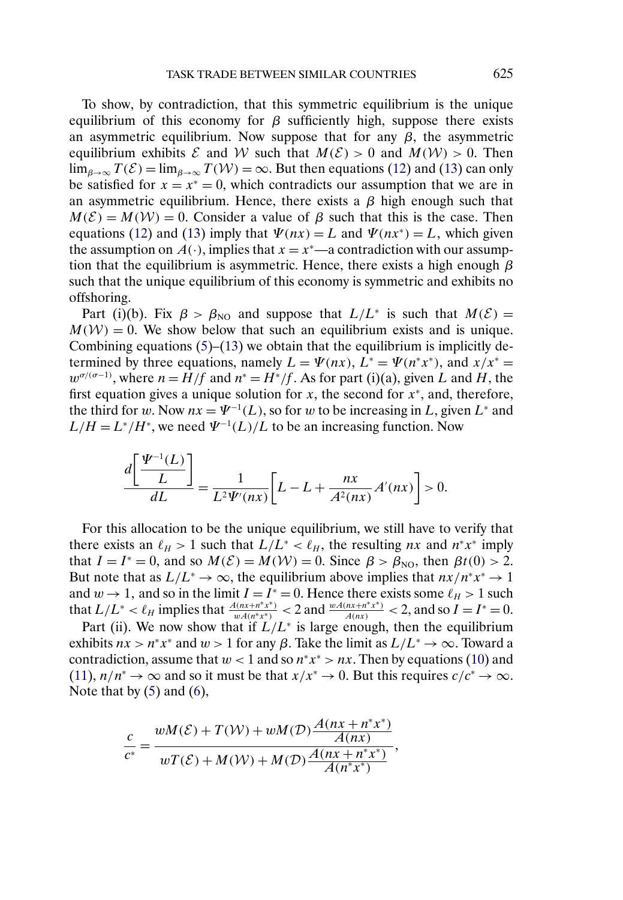To show, by contradiction, that this symmetric equilibrium is the unique equilibrium of this economy for  $\beta$  sufficiently high, suppose there exists an asymmetric equilibrium. Now suppose that for any  $\beta$ , the asymmetric equilibrium exhibits  $\mathcal E$  and W such that  $M(\mathcal E) > 0$  and  $M(\mathcal W) > 0$ . Then  $\lim_{\beta \to \infty} T(\mathcal{E}) = \lim_{\beta \to \infty} T(\mathcal{W}) = \infty$ . But then equations [\(12\)](#page-19-0) and [\(13\)](#page-19-0) can only be satisfied for  $x = x^* = 0$ , which contradicts our assumption that we are in an asymmetric equilibrium. Hence, there exists a  $\beta$  high enough such that  $M(\mathcal{E}) = M(\mathcal{W}) = 0$ . Consider a value of  $\beta$  such that this is the case. Then equations [\(12\)](#page-19-0) and [\(13\)](#page-19-0) imply that  $\Psi(nx) = L$  and  $\Psi(nx^*) = L$ , which given the assumption on  $A(\cdot)$ , implies that  $x = x^*$ —a contradiction with our assumption that the equilibrium is asymmetric. Hence, there exists a high enough  $\beta$ such that the unique equilibrium of this economy is symmetric and exhibits no offshoring.

Part (i)(b). Fix  $\beta > \beta_{\text{NO}}$  and suppose that  $L/L^*$  is such that  $M(\mathcal{E}) =$  $M(W) = 0$ . We show below that such an equilibrium exists and is unique. Combining equations  $(5)$ – $(13)$  we obtain that the equilibrium is implicitly determined by three equations, namely  $L = \Psi(nx)$ ,  $L^* = \Psi(n^*x^*)$ , and  $x/x^* =$  $w^{\sigma/(\sigma-1)}$ , where  $n = H/f$  and  $n^* = H^* / f$ . As for part (i)(a), given L and H, the first equation gives a unique solution for x, the second for  $x^*$ , and, therefore, the third for w. Now  $nx = \Psi^{-1}(L)$ , so for w to be increasing in L, given  $L^*$  and  $L/H = L^* / H^*$ , we need  $\Psi^{-1}(L) / L$  to be an increasing function. Now

$$
\frac{d\left[\frac{\Psi^{-1}(L)}{L}\right]}{dL} = \frac{1}{L^2 \Psi'(nx)} \left[L - L + \frac{nx}{A^2(nx)} A'(nx)\right] > 0.
$$

For this allocation to be the unique equilibrium, we still have to verify that there exists an  $\ell_H > 1$  such that  $L/L^* < \ell_H$ , the resulting nx and  $n^*x^*$  imply that  $I = I^* = 0$ , and so  $M(\mathcal{E}) = M(\mathcal{W}) = 0$ . Since  $\beta > \beta_{\text{NO}}$ , then  $\beta t(0) > 2$ . But note that as  $L/L^* \to \infty$ , the equilibrium above implies that  $nx/n^*x^* \to 1$ and  $w \to 1$ , and so in the limit  $I = I^* = 0$ . Hence there exists some  $\ell_H > 1$  such that  $L/L^* < \ell_H$  implies that  $\frac{A(nx+n^*x^*)}{wA(n^*x^*)} < 2$  and  $\frac{wA(nx+n^*x^*)}{A(nx)} < 2$ , and so  $\ddot{I} = I^* = 0$ .

Part (ii). We now show that if  $L/L^*$  is large enough, then the equilibrium exhibits  $nx > n^*x^*$  and  $w > 1$  for any  $\beta$ . Take the limit as  $L/L^* \rightarrow \infty$ . Toward a contradiction, assume that  $w < 1$  and so  $n^*x^* > nx$ . Then by equations [\(10\)](#page-19-0) and [\(11\)](#page-19-0),  $n/n^* \to \infty$  and so it must be that  $x/x^* \to 0$ . But this requires  $c/c^* \to \infty$ . Note that by  $(5)$  and  $(6)$ ,

$$
\frac{c}{c^*} = \frac{wM(\mathcal{E}) + T(\mathcal{W}) + wM(\mathcal{D})\frac{A(nx + n^*x^*)}{A(nx)}}{wT(\mathcal{E}) + M(\mathcal{W}) + M(\mathcal{D})\frac{A(nx + n^*x^*)}{A(n^*x^*)}},
$$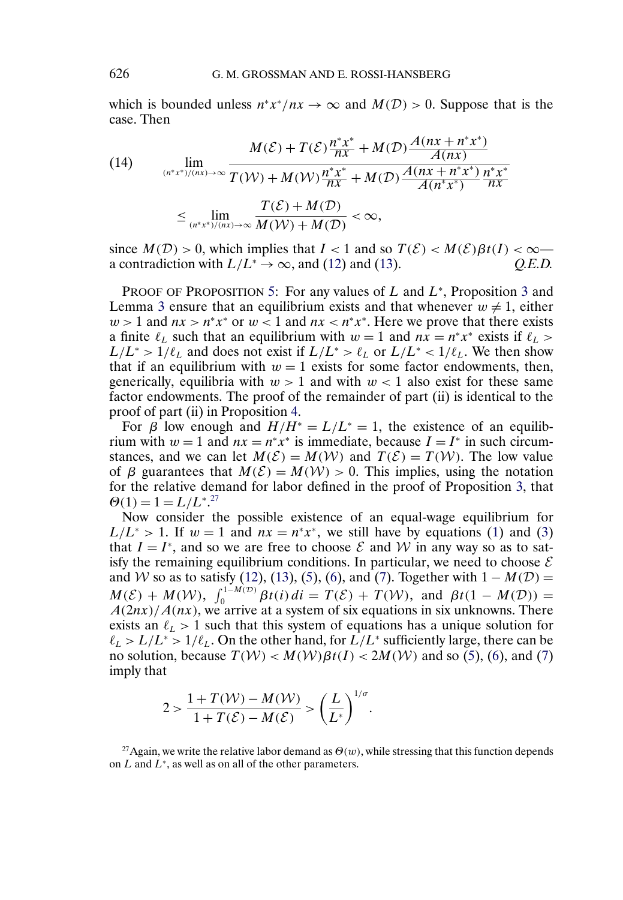which is bounded unless  $n^*x^*/nx \to \infty$  and  $M(\mathcal{D}) > 0$ . Suppose that is the case. Then

(14) 
$$
\lim_{(n^*x^*)/(nx)\to\infty} \frac{M(\mathcal{E}) + T(\mathcal{E})\frac{n^*x^*}{nx} + M(\mathcal{D})\frac{A(nx + n^*x^*)}{A(nx)}}{T(W) + M(W)\frac{n^*x^*}{nx} + M(\mathcal{D})\frac{A(nx + n^*x^*)}{A(n^*x^*)}\frac{n^*x^*}{nx}} \leq \lim_{(n^*x^*)/(nx)\to\infty} \frac{T(\mathcal{E}) + M(\mathcal{D})}{M(W) + M(\mathcal{D})} < \infty,
$$

since  $M(\mathcal{D}) > 0$ , which implies that  $I < 1$  and so  $T(\mathcal{E}) < M(\mathcal{E})\beta t(I) < \infty$ —<br>a contradiction with  $L/L^* \to \infty$ , and (12) and (13). *O.E.D.* a contradiction with  $L/L^* \rightarrow \infty$ , and [\(12\)](#page-19-0) and [\(13\)](#page-19-0).

PROOF OF PROPOSITION [5:](#page-23-0) For any values of L and  $L^*$ , Proposition [3](#page-20-0) and Lemma [3](#page-20-0) ensure that an equilibrium exists and that whenever  $w \neq 1$ , either  $w > 1$  and  $nx > n^*x^*$  or  $w < 1$  and  $nx < n^*x^*$ . Here we prove that there exists a finite  $\ell_L$  such that an equilibrium with  $w = 1$  and  $nx = n^*x^*$  exists if  $\ell_L >$  $L/L^* > 1/\ell_L$  and does not exist if  $L/L^* > \ell_L$  or  $L/L^* < 1/\ell_L$ . We then show that if an equilibrium with  $w = 1$  exists for some factor endowments, then, generically, equilibria with  $w > 1$  and with  $w < 1$  also exist for these same factor endowments. The proof of the remainder of part (ii) is identical to the proof of part (ii) in Proposition [4.](#page-20-0)

For  $\beta$  low enough and  $H/H^* = L/L^* = 1$ , the existence of an equilibrium with  $w = 1$  and  $nx = n^*x^*$  is immediate, because  $I = I^*$  in such circumstances, and we can let  $M(\mathcal{E}) = M(\mathcal{W})$  and  $T(\mathcal{E}) = T(\mathcal{W})$ . The low value of  $\beta$  guarantees that  $M(\mathcal{E}) = M(\mathcal{W}) > 0$ . This implies, using the notation for the relative demand for labor defined in the proof of Proposition [3,](#page-20-0) that  $\Theta(1) = 1 = L/L^{*27}$ 

Now consider the possible existence of an equal-wage equilibrium for  $L/L^* > 1$ . If  $w = 1$  and  $nx = n^*x^*$ , we still have by equations [\(1\)](#page-8-0) and [\(3\)](#page-10-0) that  $I = I^*$ , and so we are free to choose  $\mathcal E$  and  $\mathcal W$  in any way so as to satisfy the remaining equilibrium conditions. In particular, we need to choose  $\mathcal E$ and W so as to satisfy [\(12\)](#page-19-0), [\(13\)](#page-19-0), [\(5\)](#page-18-0), [\(6\)](#page-18-0), and [\(7\)](#page-18-0). Together with  $1 - M(\mathcal{D}) =$  $M(\mathcal{E}) + M(\mathcal{W})$ ,  $\int_0^{1-M(\mathcal{D})} \beta t(i) di = T(\mathcal{E}) + T(\mathcal{W})$ , and  $\beta t(1 - M(\mathcal{D})) =$  $A(2nx)/A(nx)$ , we arrive at a system of six equations in six unknowns. There exists an  $\ell_L > 1$  such that this system of equations has a unique solution for  $\ell_L > L/L^* > 1/\ell_L$ . On the other hand, for  $L/L^*$  sufficiently large, there can be no solution, because  $T(W) < M(W)\beta t(I) < 2M(W)$  and so [\(5\)](#page-18-0), [\(6\)](#page-18-0), and [\(7\)](#page-18-0) imply that

$$
2 > \frac{1 + T(\mathcal{W}) - M(\mathcal{W})}{1 + T(\mathcal{E}) - M(\mathcal{E})} > \left(\frac{L}{L^*}\right)^{1/\sigma}.
$$

<sup>&</sup>lt;sup>27</sup>Again, we write the relative labor demand as  $\Theta(w)$ , while stressing that this function depends on  $L$  and  $L^*$ , as well as on all of the other parameters.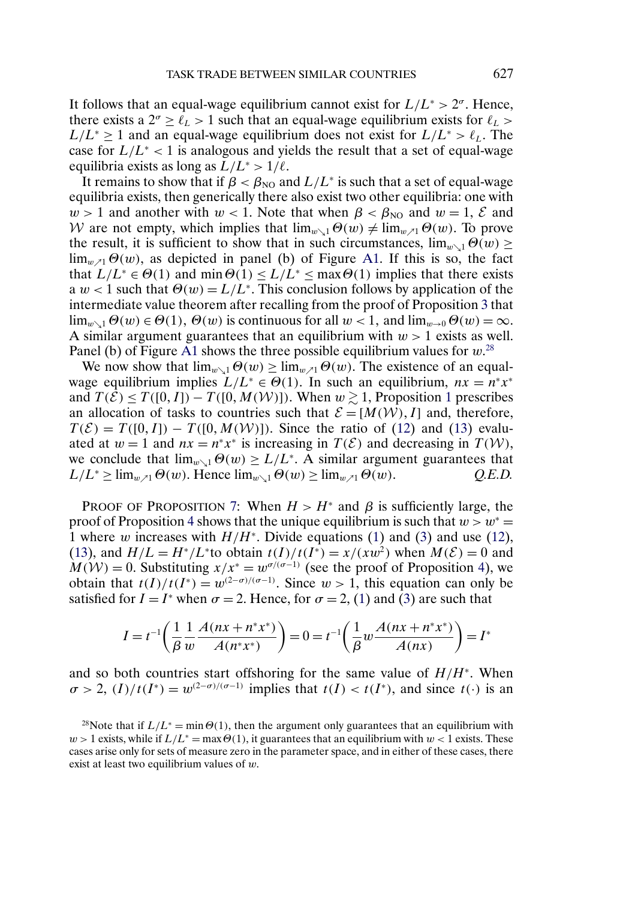It follows that an equal-wage equilibrium cannot exist for  $L/L^* > 2^{\sigma}$ . Hence, there exists a  $2^{\sigma} \ge \ell_L > 1$  such that an equal-wage equilibrium exists for  $\ell_L >$  $L/L^* \geq 1$  and an equal-wage equilibrium does not exist for  $L/L^* > \ell_L$ . The case for  $L/L^*$  < 1 is analogous and yields the result that a set of equal-wage equilibria exists as long as  $L/L^* > 1/\ell$ .

It remains to show that if  $\beta < \beta_{NO}$  and  $L/L^*$  is such that a set of equal-wage equilibria exists, then generically there also exist two other equilibria: one with  $w > 1$  and another with  $w < 1$ . Note that when  $\beta < \beta_{NQ}$  and  $w = 1$ ,  $\mathcal{E}$  and W are not empty, which implies that  $\lim_{w\setminus 1} \Theta(w) \neq \lim_{w\setminus 1} \Theta(w)$ . To prove the result, it is sufficient to show that in such circumstances,  $\lim_{w\setminus 1} \Theta(w)$  $\lim_{w \nearrow 1} \Theta(w)$ , as depicted in panel (b) of Figure [A1.](#page-31-0) If this is so, the fact that  $L/L^* \in \Theta(1)$  and  $\min \Theta(1) \leq L/L^* \leq \max \Theta(1)$  implies that there exists a  $w < 1$  such that  $\Theta(w) = L/L^*$ . This conclusion follows by application of the intermediate value theorem after recalling from the proof of Proposition [3](#page-20-0) that  $\lim_{w\setminus 1} \Theta(w) \in \Theta(1)$ ,  $\Theta(w)$  is continuous for all  $w < 1$ , and  $\lim_{w\to 0} \Theta(w) = \infty$ . A similar argument guarantees that an equilibrium with  $w > 1$  exists as well. Panel (b) of Figure [A1](#page-31-0) shows the three possible equilibrium values for  $w$ <sup>28</sup>

We now show that  $\lim_{w\setminus 1} \Theta(w) \ge \lim_{w\to 1} \Theta(w)$ . The existence of an equalwage equilibrium implies  $L/L^* \in \Theta(1)$ . In such an equilibrium,  $nx = n^*x^*$ and  $T(\mathcal{E}) \leq T([0, I]) - T([0, M(\mathcal{W})])$ . When  $w \gtrsim 1$  $w \gtrsim 1$ , Proposition 1 prescribes an allocation of tasks to countries such that  $\mathcal{E} = [M(\mathcal{W}), I]$  and, therefore,  $T(\mathcal{E}) = T([0, I]) - T([0, M(W))]$ . Since the ratio of [\(12\)](#page-19-0) and [\(13\)](#page-19-0) evaluated at  $w = 1$  and  $nx = n^*x^*$  is increasing in  $T(\mathcal{E})$  and decreasing in  $T(\mathcal{W})$ , we conclude that  $\lim_{w\setminus 1} \Theta(w) \geq L/L^*$ . A similar argument guarantees that  $L/L^* \geq \lim_{w \nearrow 1} \Theta(w)$ . Hence  $\lim_{w \searrow 1} \Theta(w) \geq \lim_{w \nearrow 1} \Theta(w)$ . Q.E.D.

PROOF OF PROPOSITION [7:](#page-28-0) When  $H > H^*$  and  $\beta$  is sufficiently large, the proof of Proposition [4](#page-20-0) shows that the unique equilibrium is such that  $w > w^* =$ 1 where w increases with  $H/H^*$ . Divide equations [\(1\)](#page-8-0) and [\(3\)](#page-10-0) and use [\(12\)](#page-19-0), [\(13\)](#page-19-0), and  $H/L = H^*/L^*$  to obtain  $t(I)/t(I^*) = x/(xw^2)$  when  $M(\mathcal{E}) = 0$  and  $M(W) = 0$ . Substituting  $x/x^* = w^{\sigma/(\sigma-1)}$  (see the proof of Proposition [4\)](#page-20-0), we obtain that  $t(I)/t(I^*) = w^{(2-\sigma)/(\sigma-1)}$ . Since  $w > 1$ , this equation can only be satisfied for  $I = I^*$  when  $\sigma = 2$ . Hence, for  $\sigma = 2$ , [\(1\)](#page-8-0) and [\(3\)](#page-10-0) are such that

$$
I = t^{-1} \left( \frac{1}{\beta} \frac{1}{w} \frac{A(nx + n^*x^*)}{A(n^*x^*)} \right) = 0 = t^{-1} \left( \frac{1}{\beta} w \frac{A(nx + n^*x^*)}{A(nx)} \right) = I^*
$$

and so both countries start offshoring for the same value of  $H/H^*$ . When  $\sigma > 2$ ,  $(I)/t(I^*) = w^{(2-\sigma)/( \sigma-1)}$  implies that  $t(I) < t(I^*)$ , and since  $t(\cdot)$  is an

<sup>&</sup>lt;sup>28</sup>Note that if  $L/L^* = \min \Theta(1)$ , then the argument only guarantees that an equilibrium with  $w > 1$  exists, while if  $L/L^* = \max \Theta(1)$ , it guarantees that an equilibrium with  $w < 1$  exists. These cases arise only for sets of measure zero in the parameter space, and in either of these cases, there exist at least two equilibrium values of  $w$ .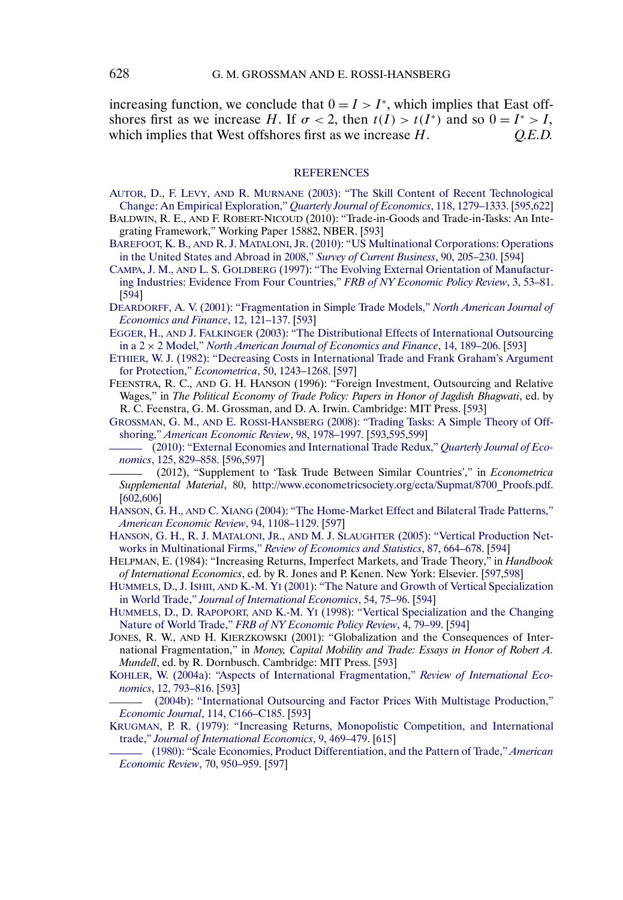<span id="page-35-0"></span>increasing function, we conclude that  $0 = I > I^*$ , which implies that East offshores first as we increase H. If  $\sigma < 2$ , then  $t(I) > t(I^*)$  and so  $0 = I^* > I$ , which implies that West offshores first as we increase *H*. *Q.E.D.* 

#### **[REFERENCES](http://www.e-publications.org/srv/ecta/linkserver/setprefs?rfe_id=urn:sici%2F0012-9682%28201203%2980%3A2%3C593%3ATTBSC%3E2.0.CO%3B2-1)**

- AUTOR, D., F. LEVY, AND R. MURNANE [\(2003\): "The Skill Content of Recent Technological](http://www.e-publications.org/srv/ecta/linkserver/openurl?rft_dat=bib:1/Autetal2003&rfe_id=urn:sici%2F0012-9682%28201203%2980%3A2%3C593%3ATTBSC%3E2.0.CO%3B2-1) [Change: An Empirical Exploration,"](http://www.e-publications.org/srv/ecta/linkserver/openurl?rft_dat=bib:1/Autetal2003&rfe_id=urn:sici%2F0012-9682%28201203%2980%3A2%3C593%3ATTBSC%3E2.0.CO%3B2-1) *Quarterly Journal of Economics*, 118, 1279–1333. [\[595,622\]](#page-2-0)
- BALDWIN, R. E., AND F. ROBERT-NICOUD (2010): "Trade-in-Goods and Trade-in-Tasks: An Integrating Framework," Working Paper 15882, NBER. [\[593\]](#page-0-0)
- BAREFOOT, K. B., AND [R. J. MATALONI, JR. \(2010\): "US Multinational Corporations: Operations](http://www.e-publications.org/srv/ecta/linkserver/openurl?rft_dat=bib:3/BarMat2010&rfe_id=urn:sici%2F0012-9682%28201203%2980%3A2%3C593%3ATTBSC%3E2.0.CO%3B2-1) [in the United States and Abroad in 2008,"](http://www.e-publications.org/srv/ecta/linkserver/openurl?rft_dat=bib:3/BarMat2010&rfe_id=urn:sici%2F0012-9682%28201203%2980%3A2%3C593%3ATTBSC%3E2.0.CO%3B2-1) *Survey of Current Business*, 90, 205–230. [\[594\]](#page-1-0)
- CAMPA, J. M., AND L. S. GOLDBERG [\(1997\): "The Evolving External Orientation of Manufactur](http://www.e-publications.org/srv/ecta/linkserver/openurl?rft_dat=bib:4/CamGol1997&rfe_id=urn:sici%2F0012-9682%28201203%2980%3A2%3C593%3ATTBSC%3E2.0.CO%3B2-1)[ing Industries: Evidence From Four Countries,"](http://www.e-publications.org/srv/ecta/linkserver/openurl?rft_dat=bib:4/CamGol1997&rfe_id=urn:sici%2F0012-9682%28201203%2980%3A2%3C593%3ATTBSC%3E2.0.CO%3B2-1) *FRB of NY Economic Policy Review*, 3, 53–81. [\[594\]](#page-1-0)
- [DEARDORFF, A. V. \(2001\): "Fragmentation in Simple Trade Models,"](http://www.e-publications.org/srv/ecta/linkserver/openurl?rft_dat=bib:5/Dea2001&rfe_id=urn:sici%2F0012-9682%28201203%2980%3A2%3C593%3ATTBSC%3E2.0.CO%3B2-1) *North American Journal of [Economics and Finance](http://www.e-publications.org/srv/ecta/linkserver/openurl?rft_dat=bib:5/Dea2001&rfe_id=urn:sici%2F0012-9682%28201203%2980%3A2%3C593%3ATTBSC%3E2.0.CO%3B2-1)*, 12, 121–137. [\[593\]](#page-0-0)
- EGGER, H., AND J. FALKINGER [\(2003\): "The Distributional Effects of International Outsourcing](http://www.e-publications.org/srv/ecta/linkserver/openurl?rft_dat=bib:6/EggFal2003&rfe_id=urn:sici%2F0012-9682%28201203%2980%3A2%3C593%3ATTBSC%3E2.0.CO%3B2-1) in a 2 × 2 Model," *[North American Journal of Economics and Finance](http://www.e-publications.org/srv/ecta/linkserver/openurl?rft_dat=bib:6/EggFal2003&rfe_id=urn:sici%2F0012-9682%28201203%2980%3A2%3C593%3ATTBSC%3E2.0.CO%3B2-1)*, 14, 189–206. [\[593\]](#page-0-0)
- [ETHIER, W. J. \(1982\): "Decreasing Costs in International Trade and Frank Graham's Argument](http://www.e-publications.org/srv/ecta/linkserver/openurl?rft_dat=bib:7/Eth1982&rfe_id=urn:sici%2F0012-9682%28201203%2980%3A2%3C593%3ATTBSC%3E2.0.CO%3B2-1) for Protection," *Econometrica*[, 50, 1243–1268.](http://www.e-publications.org/srv/ecta/linkserver/openurl?rft_dat=bib:7/Eth1982&rfe_id=urn:sici%2F0012-9682%28201203%2980%3A2%3C593%3ATTBSC%3E2.0.CO%3B2-1) [\[597\]](#page-4-0)
- FEENSTRA, R. C., AND G. H. HANSON (1996): "Foreign Investment, Outsourcing and Relative Wages," in *The Political Economy of Trade Policy: Papers in Honor of Jagdish Bhagwati*, ed. by R. C. Feenstra, G. M. Grossman, and D. A. Irwin. Cambridge: MIT Press. [\[593\]](#page-0-0)
- GROSSMAN, G. M., AND E. ROSSI-HANSBERG [\(2008\): "Trading Tasks: A Simple Theory of Off](http://www.e-publications.org/srv/ecta/linkserver/openurl?rft_dat=bib:9/GroRos2008&rfe_id=urn:sici%2F0012-9682%28201203%2980%3A2%3C593%3ATTBSC%3E2.0.CO%3B2-1)shoring," *[American Economic Review](http://www.e-publications.org/srv/ecta/linkserver/openurl?rft_dat=bib:9/GroRos2008&rfe_id=urn:sici%2F0012-9682%28201203%2980%3A2%3C593%3ATTBSC%3E2.0.CO%3B2-1)*, 98, 1978–1997. [\[593,595,](#page-0-0)[599\]](#page-2-0)
	- [\(2010\): "External Economies and International Trade Redux,"](http://www.e-publications.org/srv/ecta/linkserver/openurl?rft_dat=bib:10/GroRos2010&rfe_id=urn:sici%2F0012-9682%28201203%2980%3A2%3C593%3ATTBSC%3E2.0.CO%3B2-1) *Quarterly Journal of Economics*[, 125, 829–858.](http://www.e-publications.org/srv/ecta/linkserver/openurl?rft_dat=bib:10/GroRos2010&rfe_id=urn:sici%2F0012-9682%28201203%2980%3A2%3C593%3ATTBSC%3E2.0.CO%3B2-1) [\[596,597\]](#page-3-0)
- (2012), "Supplement to 'Task Trude Between Similar Countries'," in *Econometrica Supplemental Material*, 80, [http://www.econometricsociety.org/ecta/Supmat/8700\\_Proofs.pdf.](http://www.econometricsociety.org/ecta/Supmat/8700_Proofs.pdf) [\[602,606\]](#page-9-0)
- HANSON, G. H., AND C. XIANG [\(2004\): "The Home-Market Effect and Bilateral Trade Patterns,"](http://www.e-publications.org/srv/ecta/linkserver/openurl?rft_dat=bib:12/HanXia2004&rfe_id=urn:sici%2F0012-9682%28201203%2980%3A2%3C593%3ATTBSC%3E2.0.CO%3B2-1) *[American Economic Review](http://www.e-publications.org/srv/ecta/linkserver/openurl?rft_dat=bib:12/HanXia2004&rfe_id=urn:sici%2F0012-9682%28201203%2980%3A2%3C593%3ATTBSC%3E2.0.CO%3B2-1)*, 94, 1108–1129. [\[597\]](#page-4-0)
- [HANSON, G. H., R. J. MATALONI, JR.,](http://www.e-publications.org/srv/ecta/linkserver/openurl?rft_dat=bib:13/Hanetal2005&rfe_id=urn:sici%2F0012-9682%28201203%2980%3A2%3C593%3ATTBSC%3E2.0.CO%3B2-1) AND M. J. SLAUGHTER (2005): "Vertical Production Networks in Multinational Firms," *[Review of Economics and Statistics](http://www.e-publications.org/srv/ecta/linkserver/openurl?rft_dat=bib:13/Hanetal2005&rfe_id=urn:sici%2F0012-9682%28201203%2980%3A2%3C593%3ATTBSC%3E2.0.CO%3B2-1)*, 87, 664–678. [\[594\]](#page-1-0)
- HELPMAN, E. (1984): "Increasing Returns, Imperfect Markets, and Trade Theory," in *Handbook of International Economics*, ed. by R. Jones and P. Kenen. New York: Elsevier. [\[597,598\]](#page-4-0)
- HUMMELS, D., J. ISHII, AND K.-M. YI [\(2001\): "The Nature and Growth of Vertical Specialization](http://www.e-publications.org/srv/ecta/linkserver/openurl?rft_dat=bib:15/Humetal2001&rfe_id=urn:sici%2F0012-9682%28201203%2980%3A2%3C593%3ATTBSC%3E2.0.CO%3B2-1) in World Trade," *[Journal of International Economics](http://www.e-publications.org/srv/ecta/linkserver/openurl?rft_dat=bib:15/Humetal2001&rfe_id=urn:sici%2F0012-9682%28201203%2980%3A2%3C593%3ATTBSC%3E2.0.CO%3B2-1)*, 54, 75–96. [\[594\]](#page-1-0)
- HUMMELS, D., D. RAPOPORT, AND K.-M. YI [\(1998\): "Vertical Specialization and the Changing](http://www.e-publications.org/srv/ecta/linkserver/openurl?rft_dat=bib:16/Humetal1998&rfe_id=urn:sici%2F0012-9682%28201203%2980%3A2%3C593%3ATTBSC%3E2.0.CO%3B2-1) Nature of World Trade," *[FRB of NY Economic Policy Review](http://www.e-publications.org/srv/ecta/linkserver/openurl?rft_dat=bib:16/Humetal1998&rfe_id=urn:sici%2F0012-9682%28201203%2980%3A2%3C593%3ATTBSC%3E2.0.CO%3B2-1)*, 4, 79–99. [\[594\]](#page-1-0)
- JONES, R. W., AND H. KIERZKOWSKI (2001): "Globalization and the Consequences of International Fragmentation," in *Money, Capital Mobility and Trade: Essays in Honor of Robert A. Mundell*, ed. by R. Dornbusch. Cambridge: MIT Press. [\[593\]](#page-0-0)
- [KOHLER, W. \(2004a\): "Aspects of International Fragmentation,"](http://www.e-publications.org/srv/ecta/linkserver/openurl?rft_dat=bib:18/Koh2004a&rfe_id=urn:sici%2F0012-9682%28201203%2980%3A2%3C593%3ATTBSC%3E2.0.CO%3B2-1) *Review of International Economics*[, 12, 793–816.](http://www.e-publications.org/srv/ecta/linkserver/openurl?rft_dat=bib:18/Koh2004a&rfe_id=urn:sici%2F0012-9682%28201203%2980%3A2%3C593%3ATTBSC%3E2.0.CO%3B2-1) [\[593\]](#page-0-0)
- [\(2004b\): "International Outsourcing and Factor Prices With Multistage Production,"](http://www.e-publications.org/srv/ecta/linkserver/openurl?rft_dat=bib:19/Koh2004b&rfe_id=urn:sici%2F0012-9682%28201203%2980%3A2%3C593%3ATTBSC%3E2.0.CO%3B2-1) *Economic Journal*[, 114, C166–C185.](http://www.e-publications.org/srv/ecta/linkserver/openurl?rft_dat=bib:19/Koh2004b&rfe_id=urn:sici%2F0012-9682%28201203%2980%3A2%3C593%3ATTBSC%3E2.0.CO%3B2-1) [\[593\]](#page-0-0)
- [KRUGMAN, P. R. \(1979\): "Increasing Returns, Monopolistic Competition, and International](http://www.e-publications.org/srv/ecta/linkserver/openurl?rft_dat=bib:20/Kru1979&rfe_id=urn:sici%2F0012-9682%28201203%2980%3A2%3C593%3ATTBSC%3E2.0.CO%3B2-1) trade," *[Journal of International Economics](http://www.e-publications.org/srv/ecta/linkserver/openurl?rft_dat=bib:20/Kru1979&rfe_id=urn:sici%2F0012-9682%28201203%2980%3A2%3C593%3ATTBSC%3E2.0.CO%3B2-1)*, 9, 469–479. [\[615\]](#page-22-0)
- [\(1980\): "Scale Economies, Product Differentiation, and the Pattern of Trade,"](http://www.e-publications.org/srv/ecta/linkserver/openurl?rft_dat=bib:21/Kru1980&rfe_id=urn:sici%2F0012-9682%28201203%2980%3A2%3C593%3ATTBSC%3E2.0.CO%3B2-1) *American [Economic Review](http://www.e-publications.org/srv/ecta/linkserver/openurl?rft_dat=bib:21/Kru1980&rfe_id=urn:sici%2F0012-9682%28201203%2980%3A2%3C593%3ATTBSC%3E2.0.CO%3B2-1)*, 70, 950–959. [\[597\]](#page-4-0)